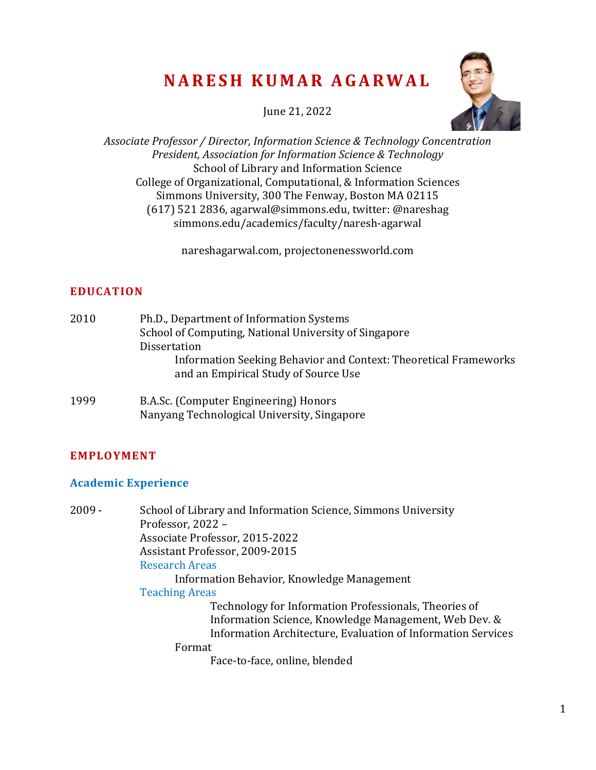# **N A R E S H K U M A R A G A R W A L**

June 21, 2022



*Associate Professor / Director, Information Science & Technology Concentration President, Association for Information Science & Technology* School of Library and Information Science College of Organizational, Computational, & Information Sciences Simmons University, 300 The Fenway, Boston MA 02115 (617) 521 2836, agarwal@simmons.edu, twitter: @nareshag simmons.edu/academics/faculty/naresh-agarwal

[nareshagarwal.com,](http://www.nareshagarwal.com/) [projectonenessworld.com](http://www.projectonenessworld.com/)

# **EDUCATION**

| 2010 | Ph.D., Department of Information Systems                         |
|------|------------------------------------------------------------------|
|      | School of Computing, National University of Singapore            |
|      | <b>Dissertation</b>                                              |
|      | Information Seeking Behavior and Context: Theoretical Frameworks |
|      | and an Empirical Study of Source Use                             |
|      |                                                                  |

1999 B.A.Sc. (Computer Engineering) Honors Nanyang Technological University, Singapore

# **EMPLOYMENT**

### **Academic Experience**

2009 - School of Library and Information Science, Simmons University Professor, 2022 – Associate Professor, 2015-2022 Assistant Professor, 2009-2015 Research Areas Information Behavior, Knowledge Management Teaching Areas Technology for Information Professionals, Theories of Information Science, Knowledge Management, Web Dev. & Information Architecture, Evaluation of Information Services Format Face-to-face, online, blended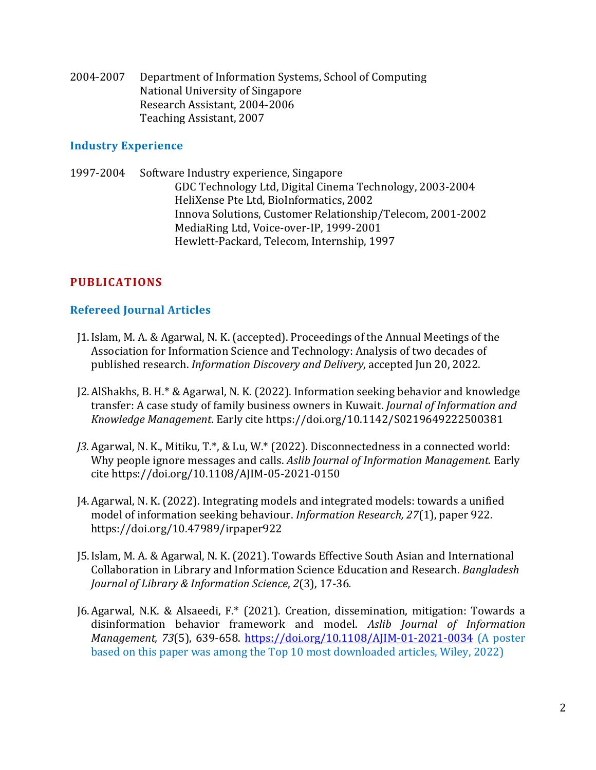2004-2007 Department of Information Systems, School of Computing National University of Singapore Research Assistant, 2004-2006 Teaching Assistant, 2007

#### **Industry Experience**

1997-2004 Software Industry experience, Singapore GDC Technology Ltd, Digital Cinema Technology, 2003-2004 HeliXense Pte Ltd, BioInformatics, 2002 Innova Solutions, Customer Relationship/Telecom, 2001-2002 MediaRing Ltd, Voice-over-IP, 1999-2001 Hewlett-Packard, Telecom, Internship, 1997

# **PUBLICATIONS**

### **Refereed Journal Articles**

- J1.Islam, M. A. & Agarwal, N. K. (accepted). Proceedings of the Annual Meetings of the Association for Information Science and Technology: Analysis of two decades of published research. *Information Discovery and Delivery*, accepted Jun 20, 2022.
- J2.AlShakhs, B. H.\* & Agarwal, N. K. (2022). Information seeking behavior and knowledge transfer: A case study of family business owners in Kuwait. *Journal of Information and Knowledge Management*. Early cite https://doi.org/10.1142/S0219649222500381
- *J3.* Agarwal, N. K., Mitiku, T.\*, & Lu, W.\* (2022). Disconnectedness in a connected world: Why people ignore messages and calls. *Aslib Journal of Information Management.* Early cite https://doi.org/10.1108/AJIM-05-2021-0150
- J4.Agarwal, N. K. (2022). Integrating models and integrated models: towards a unified model of information seeking behaviour. *Information Research, 27*(1), paper 922. https://doi.org/10.47989/irpaper922
- J5.Islam, M. A. & Agarwal, N. K. (2021). Towards Effective South Asian and International Collaboration in Library and Information Science Education and Research. *Bangladesh Journal of Library & Information Science*, *2*(3), 17-36*.*
- J6.Agarwal, N.K. & Alsaeedi, F.\* (2021). Creation, dissemination, mitigation: Towards a disinformation behavior framework and model. *Aslib Journal of Information Management, 73*(5), 639-658. <https://doi.org/10.1108/AJIM-01-2021-0034> (A poster based on this paper was among the Top 10 most downloaded articles, Wiley, 2022)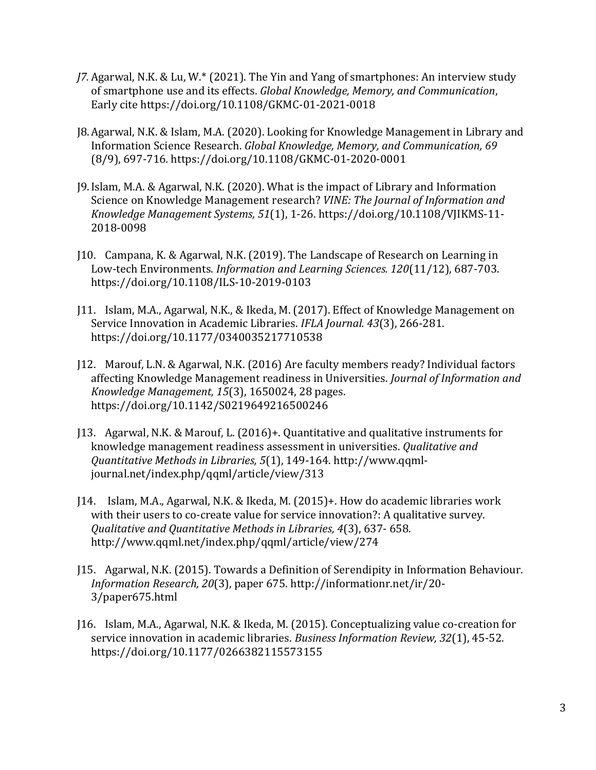- *J7.* Agarwal, N.K. & Lu, W.\* (2021). The Yin and Yang of smartphones: An interview study of smartphone use and its effects. *Global Knowledge, Memory, and Communication*, Early cite https://doi.org/10.1108/GKMC-01-2021-0018
- J8.Agarwal, N.K. & Islam, M.A. (2020). Looking for Knowledge Management in Library and Information Science Research. *Global Knowledge, Memory, and Communication, 69* (8/9), 697-716*.* https://doi.org/10.1108/GKMC-01-2020-0001
- J9.Islam, M.A. & Agarwal, N.K. (2020). What is the impact of Library and Information Science on Knowledge Management research? *VINE: The Journal of Information and Knowledge Management Systems, 51*(1), 1-26. https://doi.org/10.1108/VJIKMS-11- 2018-0098
- J10. Campana, K. & Agarwal, N.K. (2019). The Landscape of Research on Learning in Low-tech Environments. *Information and Learning Sciences. 120*(11/12), 687-703. <https://doi.org/10.1108/ILS-10-2019-0103>
- J11. Islam, M.A., Agarwal, N.K., & Ikeda, M. (2017). Effect of Knowledge Management on Service Innovation in Academic Libraries. *IFLA Journal. 43*(3), 266-281. <https://doi.org/10.1177/0340035217710538>
- J12. Marouf, L.N. & Agarwal, N.K. (2016) Are faculty members ready? Individual factors affecting Knowledge Management readiness in Universities. *Journal of Information and Knowledge Management, 15*(3), 1650024, 28 pages. <https://doi.org/10.1142/S0219649216500246>
- J13. Agarwal, N.K. & Marouf, L. (2016)+. Quantitative and qualitative instruments for knowledge management readiness assessment in universities. *Qualitative and Quantitative Methods in Libraries, 5*(1), 149-164. http://www.qqmljournal.net/index.php/qqml/article/view/313
- J14. Islam, M.A., Agarwal, N.K. & Ikeda, M. (2015)+. How do academic libraries work with their users to co-create value for service innovation?: A qualitative survey. *Qualitative and Quantitative Methods in Libraries, 4*(3), 637- 658. http://www.qqml.net/index.php/qqml/article/view/274
- J15. Agarwal, N.K. (2015). Towards a Definition of Serendipity in Information Behaviour. *Information Research, 20*(3), paper 675. [http://informationr.net/ir/20-](http://informationr.net/ir/20-3/paper675.html) [3/paper675.html](http://informationr.net/ir/20-3/paper675.html)
- J16. Islam, M.A., Agarwal, N.K. & Ikeda, M. (2015). Conceptualizing value co-creation for service innovation in academic libraries. *Business Information Review, 32*(1), 45-52. https://doi.org/10.1177/0266382115573155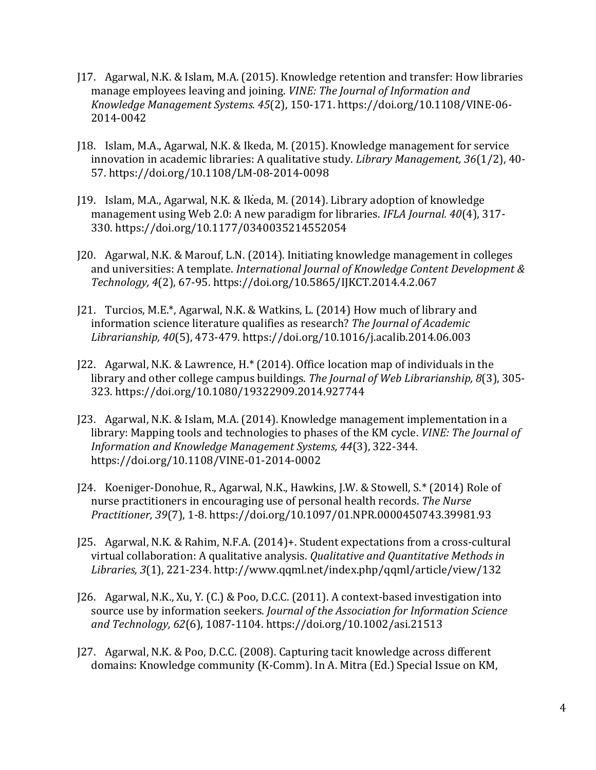- J17. Agarwal, N.K. & Islam, M.A. (2015). Knowledge retention and transfer: How libraries manage employees leaving and joining. *VINE: The Journal of Information and Knowledge Management Systems. 45*(2), 150-171. https://doi.org/10.1108/VINE-06- 2014-0042
- J18. Islam, M.A., Agarwal, N.K. & Ikeda, M. (2015). Knowledge management for service innovation in academic libraries: A qualitative study. *Library Management, 36*(1/2), 40- 57. https://doi.org/10.1108/LM-08-2014-0098
- J19. Islam, M.A., Agarwal, N.K. & Ikeda, M. (2014). Library adoption of knowledge management using Web 2.0: A new paradigm for libraries. *IFLA Journal. 40*(4), 317- 330. https://doi.org/10.1177/0340035214552054
- J20. Agarwal, N.K. & Marouf, L.N. (2014). Initiating knowledge management in colleges and universities: A template. *International Journal of Knowledge Content Development & Technology, 4*(2), 67-95. https://doi.org/10.5865/IJKCT.2014.4.2.067
- J21. Turcios, M.E.\*, Agarwal, N.K. & Watkins, L. (2014) How much of library and information science literature qualifies as research? *The Journal of Academic Librarianship, 40*(5), 473-479. https://doi.org/10.1016/j.acalib.2014.06.003
- J22. Agarwal, N.K. & Lawrence, H.\* (2014). Office location map of individuals in the library and other college campus buildings. *The Journal of Web Librarianship, 8*(3), 305- 323. https://doi.org/10.1080/19322909.2014.927744
- J23. Agarwal, N.K. & Islam, M.A. (2014). Knowledge management implementation in a library: Mapping tools and technologies to phases of the KM cycle. *VINE: The Journal of Information and Knowledge Management Systems, 44*(3), 322-344. https://doi.org/10.1108/VINE-01-2014-0002
- J24. Koeniger-Donohue, R., Agarwal, N.K., Hawkins, J.W. & Stowell, S.\* (2014) Role of nurse practitioners in encouraging use of personal health records. *The Nurse Practitioner, 39*(7), 1-8. https://doi.org/10.1097/01.NPR.0000450743.39981.93
- J25. Agarwal, N.K. & Rahim, N.F.A. (2014)+. Student expectations from a cross-cultural virtual collaboration: A qualitative analysis. *Qualitative and Quantitative Methods in Libraries, 3*(1), 221-234. http://www.qqml.net/index.php/qqml/article/view/132
- J26. Agarwal, N.K., Xu, Y. (C.) & Poo, D.C.C. (2011). A context-based investigation into source use by information seekers. *Journal of the Association for Information Science and Technology, 62*(6), 1087-1104. https://doi.org/10.1002/asi.21513
- J27. Agarwal, N.K. & Poo, D.C.C. (2008). Capturing tacit knowledge across different domains: Knowledge community (K-Comm). In A. Mitra (Ed.) Special Issue on KM,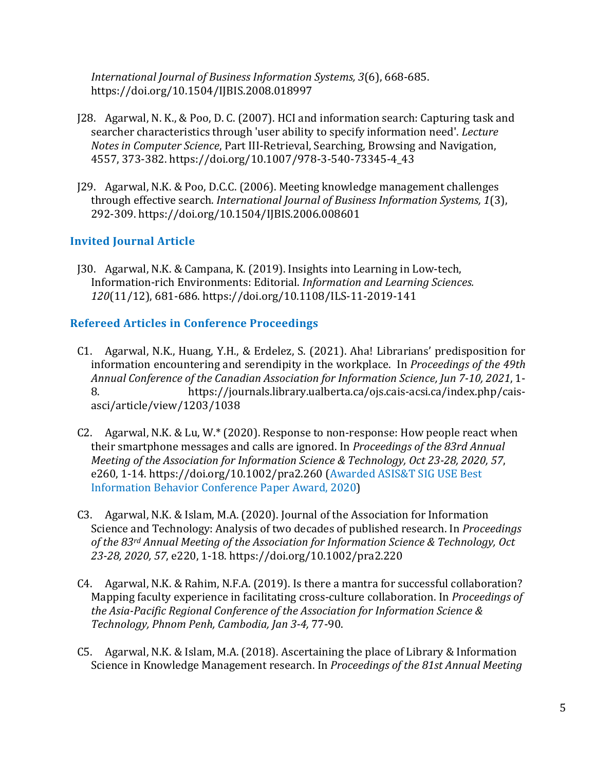*International Journal of Business Information Systems, 3*(6), 668-685. https://doi.org/10.1504/IJBIS.2008.018997

- J28. Agarwal, N. K., & Poo, D. C. (2007). HCI and information search: Capturing task and searcher characteristics through 'user ability to specify information need'. *Lecture Notes in Computer Science*, Part III-Retrieval, Searching, Browsing and Navigation, 4557, 373-382. https://doi.org/10.1007/978-3-540-73345-4\_43
- J29. Agarwal, N.K. & Poo, D.C.C. (2006). Meeting knowledge management challenges through effective search. *International Journal of Business Information Systems, 1*(3), 292-309. https://doi.org/10.1504/IJBIS.2006.008601

### **Invited Journal Article**

J30. Agarwal, N.K. & Campana, K. (2019). Insights into Learning in Low-tech, Information-rich Environments: Editorial. *Information and Learning Sciences. 120*(11/12), 681-686. https://doi.org/10.1108/ILS-11-2019-141

### **Refereed Articles in Conference Proceedings**

- C1. Agarwal, N.K., Huang, Y.H., & Erdelez, S. (2021). Aha! Librarians' predisposition for information encountering and serendipity in the workplace. In *Proceedings of the 49th Annual Conference of the Canadian Association for Information Science, Jun 7-10, 2021*, 1- 8. https://journals.library.ualberta.ca/ojs.cais-acsi.ca/index.php/caisasci/article/view/1203/1038
- C2. Agarwal, N.K. & Lu, W.\* (2020). Response to non-response: How people react when their smartphone messages and calls are ignored. In *Proceedings of the 83rd Annual Meeting of the Association for Information Science & Technology, Oct 23-28, 2020, 57*, e260, 1-14. https://doi.org/10.1002/pra2.260 (Awarded ASIS&T SIG USE Best Information Behavior Conference Paper Award, 2020)
- C3. Agarwal, N.K. & Islam, M.A. (2020). Journal of the Association for Information Science and Technology: Analysis of two decades of published research. In *Proceedings of the 83rd Annual Meeting of the Association for Information Science & Technology, Oct 23-28, 2020, 57*, e220, 1-18. https://doi.org/10.1002/pra2.220
- C4. Agarwal, N.K. & Rahim, N.F.A. (2019). Is there a mantra for successful collaboration? Mapping faculty experience in facilitating cross-culture collaboration. In *Proceedings of the Asia-Pacific Regional Conference of the Association for Information Science & Technology, Phnom Penh, Cambodia, Jan 3-4,* 77-90.
- C5. Agarwal, N.K. & Islam, M.A. (2018). Ascertaining the place of Library & Information Science in Knowledge Management research. In *Proceedings of the 81st Annual Meeting*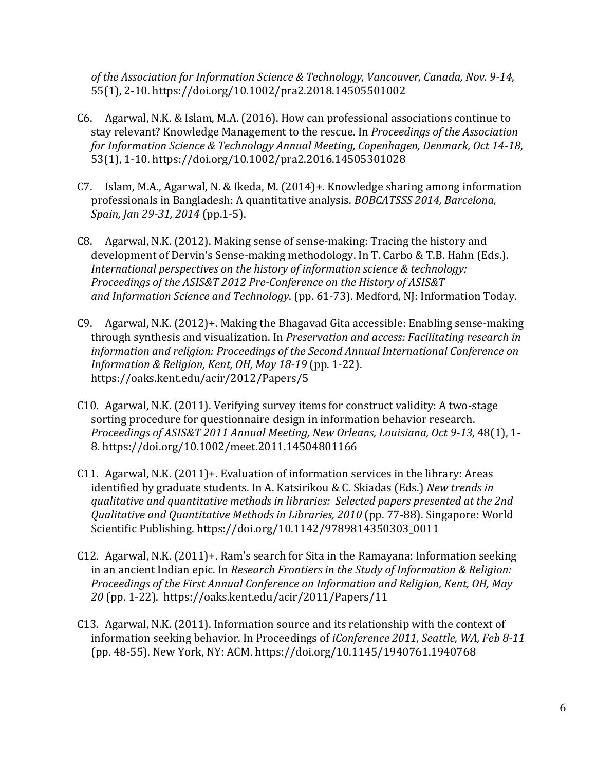*of the Association for Information Science & Technology, Vancouver, Canada, Nov. 9-14*, 55(1), 2-10. https://doi.org/10.1002/pra2.2018.14505501002

- C6. Agarwal, N.K. & Islam, M.A. (2016). How can professional associations continue to stay relevant? Knowledge Management to the rescue. In *Proceedings of the Association for Information Science & Technology Annual Meeting, Copenhagen, Denmark, Oct 14-18*, 53(1), 1-10. https://doi.org/10.1002/pra2.2016.14505301028
- C7. Islam, M.A., Agarwal, N. & Ikeda, M. (2014)+. Knowledge sharing among information professionals in Bangladesh: A quantitative analysis. *BOBCATSSS 2014, Barcelona, Spain, Jan 29-31, 2014* (pp.1-5).
- C8. Agarwal, N.K. (2012). Making sense of sense-making: Tracing the history and development of Dervin's Sense-making methodology. In T. Carbo & T.B. Hahn (Eds.). *International perspectives on the history of information science & technology: Proceedings of the ASIS&T 2012 Pre-Conference on the History of ASIS&T and Information Science and Technology*. (pp. 61-73). Medford, NJ: Information Today.
- C9. Agarwal, N.K. (2012)+. Making the Bhagavad Gita accessible: Enabling sense-making through synthesis and visualization. In *Preservation and access: Facilitating research in information and religion: Proceedings of the Second Annual International Conference on Information & Religion, Kent, OH, May 18-19* (pp. 1-22). https://oaks.kent.edu/acir/2012/Papers/5
- C10. Agarwal, N.K. (2011). Verifying survey items for construct validity: A two-stage sorting procedure for questionnaire design in information behavior research. *Proceedings of ASIS&T 2011 Annual Meeting, New Orleans, Louisiana, Oct 9-13*, 48(1), 1- 8. https://doi.org/10.1002/meet.2011.14504801166
- C11. Agarwal, N.K. (2011)+. Evaluation of information services in the library: Areas identified by graduate students. In A. Katsirikou & C. Skiadas (Eds.) *New trends in qualitative and quantitative methods in libraries: Selected papers presented at the 2nd Qualitative and Quantitative Methods in Libraries, 2010* (pp. 77-88). Singapore: World Scientific Publishing. https://doi.org/10.1142/9789814350303\_0011
- C12. Agarwal, N.K. (2011)+. Ram's search for Sita in the Ramayana: Information seeking in an ancient Indian epic. In *Research Frontiers in the Study of Information & Religion: Proceedings of the First Annual Conference on Information and Religion, Kent, OH, May 20* (pp. 1-22). https://oaks.kent.edu/acir/2011/Papers/11
- C13. Agarwal, N.K. (2011). Information source and its relationship with the context of information seeking behavior. In Proceedings of *iConference 2011, Seattle, WA, Feb 8-11* (pp. 48-55). New York, NY: ACM. https://doi.org/10.1145/1940761.1940768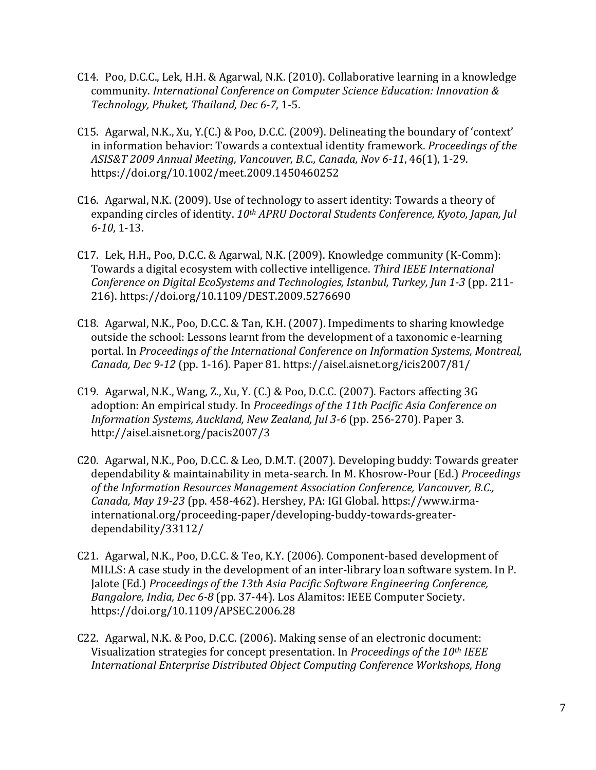- C14. Poo, D.C.C., Lek, H.H. & Agarwal, N.K. (2010). Collaborative learning in a knowledge community. *International Conference on Computer Science Education: Innovation & Technology, Phuket, Thailand, Dec 6-7*, 1-5.
- C15. Agarwal, N.K., Xu, Y.(C.) & Poo, D.C.C. (2009). Delineating the boundary of 'context' in information behavior: Towards a contextual identity framework. *Proceedings of the ASIS&T 2009 Annual Meeting, Vancouver, B.C., Canada, Nov 6-11*, 46(1), 1-29. https://doi.org/10.1002/meet.2009.1450460252
- C16. Agarwal, N.K. (2009). Use of technology to assert identity: Towards a theory of expanding circles of identity. *10th APRU Doctoral Students Conference, Kyoto, Japan, Jul 6-10*, 1-13.
- C17. Lek, H.H., Poo, D.C.C. & Agarwal, N.K. (2009). Knowledge community (K-Comm): Towards a digital ecosystem with collective intelligence. *Third IEEE International Conference on Digital EcoSystems and Technologies, Istanbul, Turkey, Jun 1-3* (pp. 211- 216). https://doi.org/10.1109/DEST.2009.5276690
- C18. Agarwal, N.K., Poo, D.C.C. & Tan, K.H. (2007). Impediments to sharing knowledge outside the school: Lessons learnt from the development of a taxonomic e-learning portal. In *Proceedings of the International Conference on Information Systems, Montreal, Canada, Dec 9-12* (pp. 1-16). Paper 81. https://aisel.aisnet.org/icis2007/81/
- C19. Agarwal, N.K., Wang, Z., Xu, Y. (C.) & Poo, D.C.C. (2007). Factors affecting 3G adoption: An empirical study. In *Proceedings of the 11th Pacific Asia Conference on Information Systems, Auckland, New Zealand, Jul 3-6* (pp. 256-270). Paper 3. http://aisel.aisnet.org/pacis2007/3
- C20. Agarwal, N.K., Poo, D.C.C. & Leo, D.M.T. (2007). Developing buddy: Towards greater dependability & maintainability in meta-search. In M. Khosrow-Pour (Ed.) *Proceedings of the Information Resources Management Association Conference, Vancouver, B.C., Canada, May 19-23* (pp. 458-462). Hershey, PA: IGI Global. https://www.irmainternational.org/proceeding-paper/developing-buddy-towards-greaterdependability/33112/
- C21. Agarwal, N.K., Poo, D.C.C. & Teo, K.Y. (2006). Component-based development of MILLS: A case study in the development of an inter-library loan software system. In P. Jalote (Ed.) *Proceedings of the 13th Asia Pacific Software Engineering Conference, Bangalore, India, Dec 6-8* (pp. 37-44). Los Alamitos: IEEE Computer Society. https://doi.org/10.1109/APSEC.2006.28
- C22. Agarwal, N.K. & Poo, D.C.C. (2006). Making sense of an electronic document: Visualization strategies for concept presentation. In *Proceedings of the 10th IEEE International Enterprise Distributed Object Computing Conference Workshops, Hong*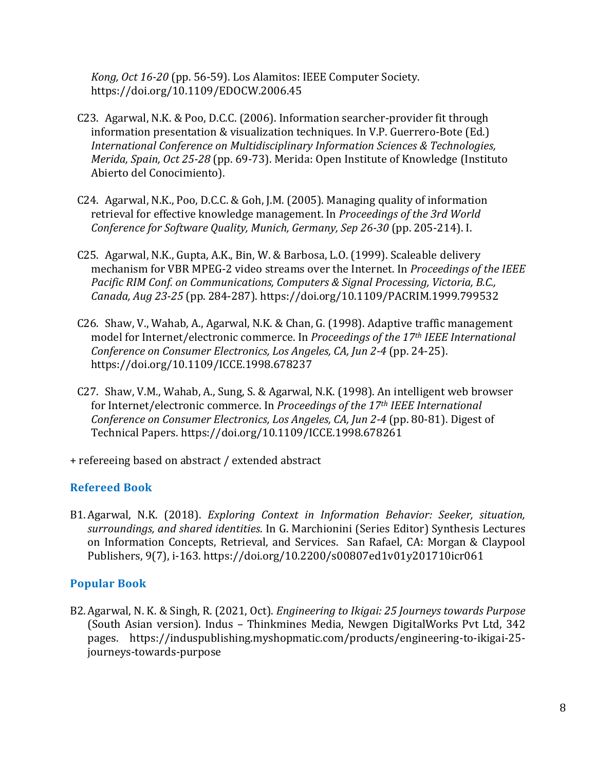*Kong, Oct 16-20* (pp. 56-59). Los Alamitos: IEEE Computer Society. https://doi.org/10.1109/EDOCW.2006.45

- C23. Agarwal, N.K. & Poo, D.C.C. (2006). Information searcher-provider fit through information presentation & visualization techniques. In V.P. Guerrero-Bote (Ed.) *International Conference on Multidisciplinary Information Sciences & Technologies, Merida, Spain, Oct 25-28* (pp. 69-73). Merida: Open Institute of Knowledge (Instituto Abierto del Conocimiento).
- C24. Agarwal, N.K., Poo, D.C.C. & Goh, J.M. (2005). Managing quality of information retrieval for effective knowledge management. In *Proceedings of the 3rd World Conference for Software Quality, Munich, Germany, Sep 26-30* (pp. 205-214). I.
- C25. Agarwal, N.K., Gupta, A.K., Bin, W. & Barbosa, L.O. (1999). Scaleable delivery mechanism for VBR MPEG-2 video streams over the Internet. In *Proceedings of the IEEE Pacific RIM Conf. on Communications, Computers & Signal Processing, Victoria, B.C., Canada, Aug 23-25* (pp. 284-287). https://doi.org/10.1109/PACRIM.1999.799532
- C26. Shaw, V., Wahab, A., Agarwal, N.K. & Chan, G. (1998). Adaptive traffic management model for Internet/electronic commerce. In *Proceedings of the 17th IEEE International Conference on Consumer Electronics, Los Angeles, CA, Jun 2-4* (pp. 24-25). https://doi.org/10.1109/ICCE.1998.678237
- C27. Shaw, V.M., Wahab, A., Sung, S. & Agarwal, N.K. (1998). An intelligent web browser for Internet/electronic commerce. In *Proceedings of the 17th IEEE International Conference on Consumer Electronics, Los Angeles, CA, Jun 2-4* (pp. 80-81). Digest of Technical Papers. https://doi.org/10.1109/ICCE.1998.678261
- + refereeing based on abstract / extended abstract

### **Refereed Book**

B1.Agarwal, N.K. (2018). *Exploring Context in Information Behavior: Seeker, situation, surroundings, and shared identities*. In G. Marchionini (Series Editor) Synthesis Lectures on Information Concepts, Retrieval, and Services. San Rafael, CA: Morgan & Claypool Publishers, 9(7), i-163. https://doi.org/10.2200/s00807ed1v01y201710icr061

### **Popular Book**

B2.Agarwal, N. K. & Singh, R. (2021, Oct). *Engineering to Ikigai: 25 Journeys towards Purpose* (South Asian version). Indus – Thinkmines Media, Newgen DigitalWorks Pvt Ltd, 342 pages. https://induspublishing.myshopmatic.com/products/engineering-to-ikigai-25 journeys-towards-purpose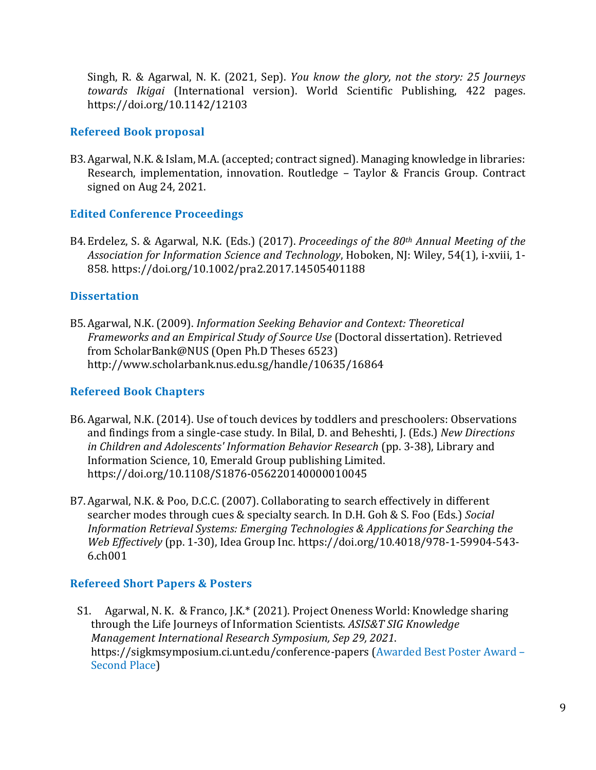Singh, R. & Agarwal, N. K. (2021, Sep). *You know the glory, not the story: 25 Journeys towards Ikigai* (International version). World Scientific Publishing, 422 pages. https://doi.org/10.1142/12103

### **Refereed Book proposal**

B3.Agarwal, N.K. & Islam, M.A. (accepted; contract signed). Managing knowledge in libraries: Research, implementation, innovation. Routledge – Taylor & Francis Group. Contract signed on Aug 24, 2021.

#### **Edited Conference Proceedings**

B4.Erdelez, S. & Agarwal, N.K. (Eds.) (2017). *Proceedings of the 80th Annual Meeting of the Association for Information Science and Technology*, Hoboken, NJ: Wiley, 54(1), i-xviii, 1- 858. https://doi.org/10.1002/pra2.2017.14505401188

#### **Dissertation**

B5.Agarwal, N.K. (2009). *Information Seeking Behavior and Context: Theoretical Frameworks and an Empirical Study of Source Use* (Doctoral dissertation). Retrieved from ScholarBank@NUS (Open Ph.D Theses 6523) http://www.scholarbank.nus.edu.sg/handle/10635/16864

### **Refereed Book Chapters**

- B6.Agarwal, N.K. (2014). Use of touch devices by toddlers and preschoolers: Observations and findings from a single-case study. In Bilal, D. and Beheshti, J. (Eds.) *New Directions in Children and Adolescents' Information Behavior Research* (pp. 3-38), Library and Information Science, 10, Emerald Group publishing Limited. https://doi.org/10.1108/S1876-056220140000010045
- B7.Agarwal, N.K. & Poo, D.C.C. (2007). Collaborating to search effectively in different searcher modes through cues & specialty search. In D.H. Goh & S. Foo (Eds.) *Social Information Retrieval Systems: Emerging Technologies & Applications for Searching the Web Effectively* (pp. 1-30), Idea Group Inc. https://doi.org/10.4018/978-1-59904-543- 6.ch001

#### **Refereed Short Papers & Posters**

S1. Agarwal, N. K. & Franco, J.K.\* (2021). Project Oneness World: Knowledge sharing through the Life Journeys of Information Scientists. *ASIS&T SIG Knowledge Management International Research Symposium, Sep 29, 2021*. <https://sigkmsymposium.ci.unt.edu/conference-papers> (Awarded Best Poster Award – Second Place)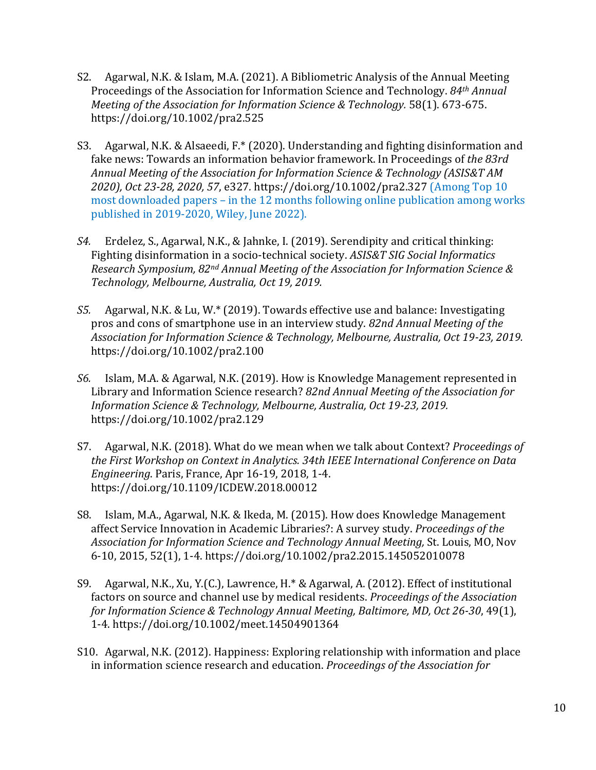- S2. Agarwal, N.K. & Islam, M.A. (2021). A Bibliometric Analysis of the Annual Meeting Proceedings of the Association for Information Science and Technology. *84th Annual Meeting of the Association for Information Science & Technology.* 58(1). 673-675. https://doi.org/10.1002/pra2.525
- S3. Agarwal, N.K. & Alsaeedi, F.\* (2020). Understanding and fighting disinformation and fake news: Towards an information behavior framework. In Proceedings of *the 83rd Annual Meeting of the Association for Information Science & Technology (ASIS&T AM 2020), Oct 23-28, 2020, 57*, e327*.* https://doi.org/10.1002/pra2.327 (Among Top 10 most downloaded papers – in the 12 months following online publication among works published in 2019-2020, Wiley, June 2022).
- *S4.* Erdelez, S., Agarwal, N.K., & Jahnke, I. (2019). Serendipity and critical thinking: Fighting disinformation in a socio-technical society. *ASIS&T SIG Social Informatics Research Symposium, 82nd Annual Meeting of the Association for Information Science & Technology, Melbourne, Australia, Oct 19, 2019.*
- *S5.* Agarwal, N.K. & Lu, W.\* (2019). Towards effective use and balance: Investigating pros and cons of smartphone use in an interview study. *82nd Annual Meeting of the Association for Information Science & Technology, Melbourne, Australia, Oct 19-23, 2019.* https://doi.org/10.1002/pra2.100
- *S6.* Islam, M.A. & Agarwal, N.K. (2019). How is Knowledge Management represented in Library and Information Science research? *82nd Annual Meeting of the Association for Information Science & Technology, Melbourne, Australia, Oct 19-23, 2019.* https://doi.org/10.1002/pra2.129
- S7. Agarwal, N.K. (2018). What do we mean when we talk about Context? *Proceedings of the First Workshop on Context in Analytics. 34th IEEE International Conference on Data Engineering*. Paris, France, Apr 16-19, 2018, 1-4. https://doi.org/10.1109/ICDEW.2018.00012
- S8. Islam, M.A., Agarwal, N.K. & Ikeda, M. (2015). How does Knowledge Management affect Service Innovation in Academic Libraries?: A survey study. *Proceedings of the Association for Information Science and Technology Annual Meeting,* St. Louis, MO, Nov 6-10, 2015, 52(1), 1-4. https://doi.org/10.1002/pra2.2015.145052010078
- S9. Agarwal, N.K., Xu, Y.(C.), Lawrence, H.\* & Agarwal, A. (2012). Effect of institutional factors on source and channel use by medical residents. *Proceedings of the Association for Information Science & Technology Annual Meeting, Baltimore, MD, Oct 26-30*, 49(1), 1-4. https://doi.org/10.1002/meet.14504901364
- S10. Agarwal, N.K. (2012). Happiness: Exploring relationship with information and place in information science research and education. *Proceedings of the Association for*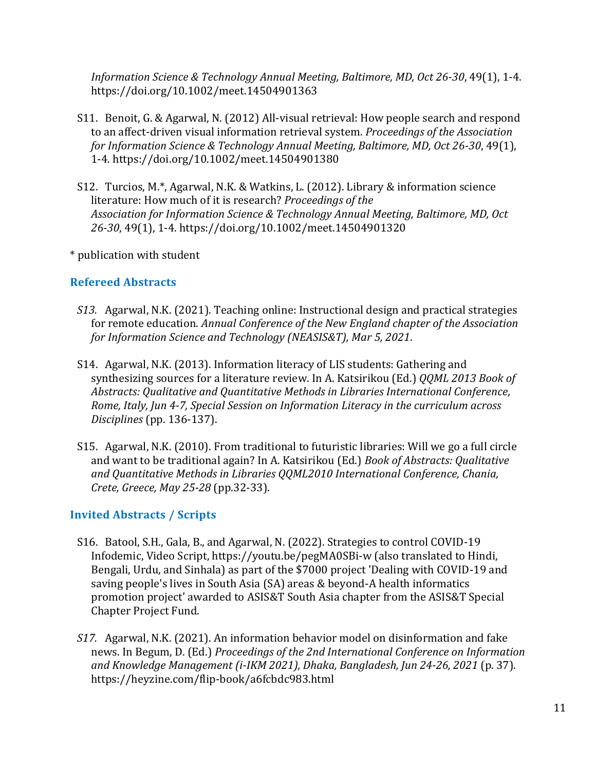*Information Science & Technology Annual Meeting, Baltimore, MD, Oct 26-30*, 49(1), 1-4. https://doi.org/10.1002/meet.14504901363

- S11. Benoit, G. & Agarwal, N. (2012) All-visual retrieval: How people search and respond to an affect-driven visual information retrieval system. *Proceedings of the Association for Information Science & Technology Annual Meeting, Baltimore, MD, Oct 26-30*, 49(1), 1-4. https://doi.org/10.1002/meet.14504901380
- S12. Turcios, M.\*, Agarwal, N.K. & Watkins, L. (2012). Library & information science literature: How much of it is research? *Proceedings of the Association for Information Science & Technology Annual Meeting, Baltimore, MD, Oct 26-30*, 49(1), 1-4. https://doi.org/10.1002/meet.14504901320

\* publication with student

# **Refereed Abstracts**

- *S13.* Agarwal, N.K. (2021). Teaching online: Instructional design and practical strategies for remote education. *Annual Conference of the New England chapter of the Association for Information Science and Technology (NEASIS&T), Mar 5, 2021*.
- S14. Agarwal, N.K. (2013). Information literacy of LIS students: Gathering and synthesizing sources for a literature review. In A. Katsirikou (Ed.) *QQML 2013 Book of Abstracts: Qualitative and Quantitative Methods in Libraries International Conference, Rome, Italy, Jun 4-7, Special Session on Information Literacy in the curriculum across Disciplines* (pp. 136-137).
- S15. Agarwal, N.K. (2010). From traditional to futuristic libraries: Will we go a full circle and want to be traditional again? In A. Katsirikou (Ed.) *Book of Abstracts: Qualitative and Quantitative Methods in Libraries QQML2010 International Conference, Chania, Crete, Greece, May 25-28* (pp.32-33).

### **Invited Abstracts / Scripts**

- S16. Batool, S.H., Gala, B., and Agarwal, N. (2022). Strategies to control COVID-19 Infodemic, Video Script, https://youtu.be/pegMA0SBi-w (also translated to Hindi, Bengali, Urdu, and Sinhala) as part of the \$7000 project 'Dealing with COVID-19 and saving people's lives in South Asia (SA) areas & beyond-A health informatics promotion project' awarded to ASIS&T South Asia chapter from the ASIS&T Special Chapter Project Fund.
- *S17.* Agarwal, N.K. (2021). An information behavior model on disinformation and fake news. In Begum, D. (Ed.) *Proceedings of the 2nd International Conference on Information and Knowledge Management (i-IKM 2021), Dhaka, Bangladesh, Jun 24-26, 2021* (p. 37). https://heyzine.com/flip-book/a6fcbdc983.html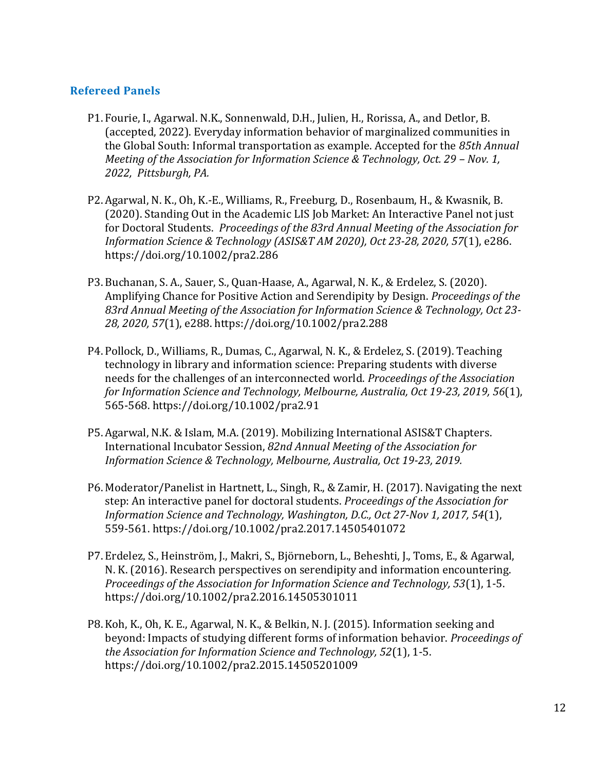### **Refereed Panels**

- P1. Fourie, I., Agarwal. N.K., Sonnenwald, D.H., Julien, H., Rorissa, A., and Detlor, B. (accepted, 2022). Everyday information behavior of marginalized communities in the Global South: Informal transportation as example. Accepted for the *85th Annual Meeting of the Association for Information Science & Technology, Oct. 29 – Nov. 1, 2022, Pittsburgh, PA.*
- P2. Agarwal, N. K., Oh, K.-E., Williams, R., Freeburg, D., Rosenbaum, H., & Kwasnik, B. (2020). Standing Out in the Academic LIS Job Market: An Interactive Panel not just for Doctoral Students. *Proceedings of the 83rd Annual Meeting of the Association for Information Science & Technology (ASIS&T AM 2020), Oct 23-28, 2020, 57*(1), e286. https://doi.org/10.1002/pra2.286
- P3. Buchanan, S. A., Sauer, S., Quan-Haase, A., Agarwal, N. K., & Erdelez, S. (2020). Amplifying Chance for Positive Action and Serendipity by Design. *Proceedings of the 83rd Annual Meeting of the Association for Information Science & Technology, Oct 23- 28, 2020, 57*(1), e288. https://doi.org/10.1002/pra2.288
- P4. Pollock, D., Williams, R., Dumas, C., Agarwal, N. K., & Erdelez, S. (2019). Teaching technology in library and information science: Preparing students with diverse needs for the challenges of an interconnected world. *Proceedings of the Association for Information Science and Technology, Melbourne, Australia, Oct 19-23, 2019, 56*(1), 565-568. https://doi.org/10.1002/pra2.91
- P5. Agarwal, N.K. & Islam, M.A. (2019). Mobilizing International ASIS&T Chapters. International Incubator Session, *82nd Annual Meeting of the Association for Information Science & Technology, Melbourne, Australia, Oct 19-23, 2019.*
- P6. Moderator/Panelist in Hartnett, L., Singh, R., & Zamir, H. (2017). Navigating the next step: An interactive panel for doctoral students. *Proceedings of the Association for Information Science and Technology, Washington, D.C., Oct 27-Nov 1, 2017, 54*(1), 559-561. https://doi.org/10.1002/pra2.2017.14505401072
- P7. Erdelez, S., Heinström, J., Makri, S., Björneborn, L., Beheshti, J., Toms, E., & Agarwal, N. K. (2016). Research perspectives on serendipity and information encountering. *Proceedings of the Association for Information Science and Technology, 53*(1), 1-5. https://doi.org/10.1002/pra2.2016.14505301011
- P8. Koh, K., Oh, K. E., Agarwal, N. K., & Belkin, N. J. (2015). Information seeking and beyond: Impacts of studying different forms of information behavior. *Proceedings of the Association for Information Science and Technology, 52*(1), 1-5. https://doi.org/10.1002/pra2.2015.14505201009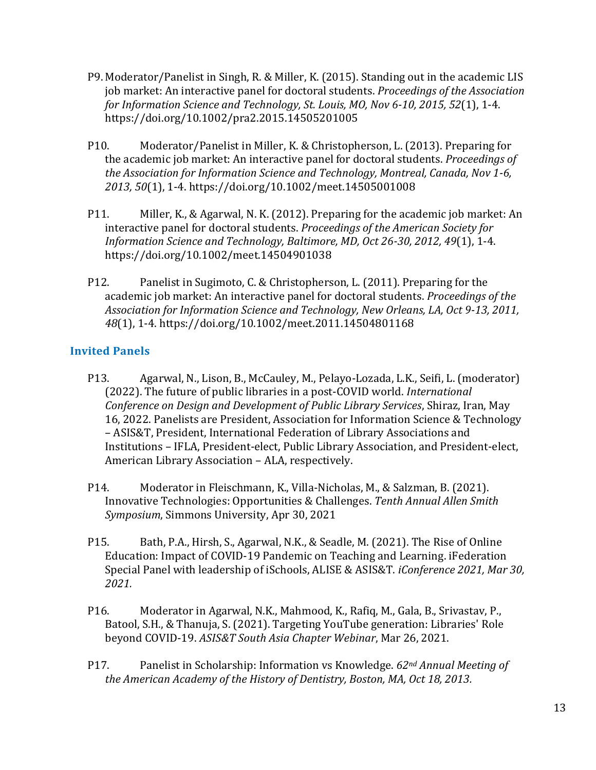- P9. Moderator/Panelist in Singh, R. & Miller, K. (2015). Standing out in the academic LIS job market: An interactive panel for doctoral students. *Proceedings of the Association for Information Science and Technology, St. Louis, MO, Nov 6-10, 2015, 52*(1), 1-4. https://doi.org/10.1002/pra2.2015.14505201005
- P10. Moderator/Panelist in Miller, K. & Christopherson, L. (2013). Preparing for the academic job market: An interactive panel for doctoral students. *Proceedings of the Association for Information Science and Technology, Montreal, Canada, Nov 1-6, 2013, 50*(1), 1-4. https://doi.org/10.1002/meet.14505001008
- P11. Miller, K., & Agarwal, N. K. (2012). Preparing for the academic job market: An interactive panel for doctoral students. *Proceedings of the American Society for Information Science and Technology, Baltimore, MD, Oct 26-30, 2012, 49*(1), 1-4. https://doi.org/10.1002/meet.14504901038
- P12. Panelist in Sugimoto, C. & Christopherson, L. (2011). Preparing for the academic job market: An interactive panel for doctoral students. *Proceedings of the Association for Information Science and Technology, New Orleans, LA, Oct 9-13, 2011, 48*(1), 1-4. https://doi.org/10.1002/meet.2011.14504801168

# **Invited Panels**

- P13. Agarwal, N., Lison, B., McCauley, M., Pelayo-Lozada, L.K., Seifi, L. (moderator) (2022). The future of public libraries in a post-COVID world. *International Conference on Design and Development of Public Library Services*, Shiraz, Iran, May 16, 2022. Panelists are President, Association for Information Science & Technology – ASIS&T, President, International Federation of Library Associations and Institutions – IFLA, President-elect, Public Library Association, and President-elect, American Library Association – ALA, respectively.
- P14. Moderator in Fleischmann, K., Villa-Nicholas, M., & Salzman, B. (2021). Innovative Technologies: Opportunities & Challenges. *Tenth Annual Allen Smith Symposium*, Simmons University, Apr 30, 2021
- P15. Bath, P.A., Hirsh, S., Agarwal, N.K., & Seadle, M. (2021). The Rise of Online Education: Impact of COVID-19 Pandemic on Teaching and Learning. iFederation Special Panel with leadership of iSchools, ALISE & ASIS&T. *iConference 2021, Mar 30, 2021.*
- P16. Moderator in Agarwal, N.K., Mahmood, K., Rafiq, M., Gala, B., Srivastav, P., Batool, S.H., & Thanuja, S. (2021). Targeting YouTube generation: Libraries' Role beyond COVID-19. *ASIS&T South Asia Chapter Webinar*, Mar 26, 2021.
- P17. Panelist in Scholarship: Information vs Knowledge. *62nd Annual Meeting of the American Academy of the History of Dentistry, Boston, MA, Oct 18, 2013.*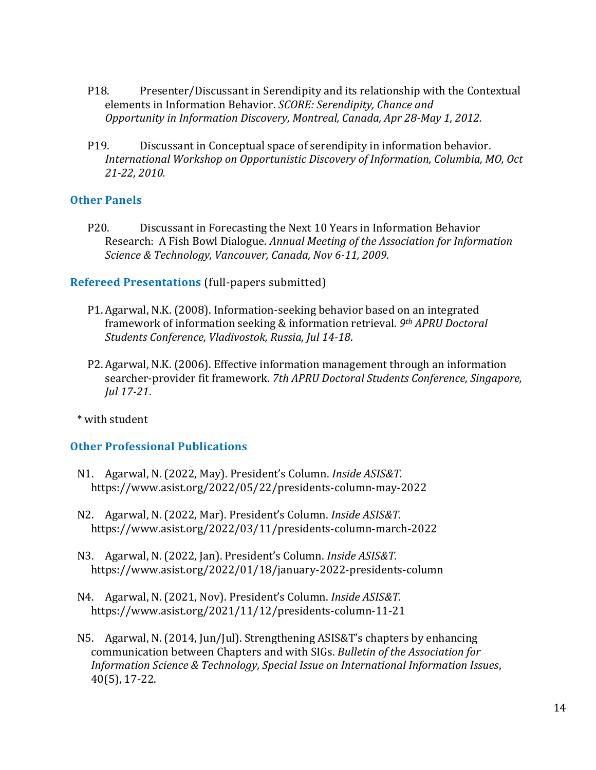- P18. Presenter/Discussant in Serendipity and its relationship with the Contextual elements in Information Behavior. *SCORE: Serendipity, Chance and Opportunity in Information Discovery, Montreal, Canada, Apr 28-May 1, 2012.*
- P19. Discussant in Conceptual space of serendipity in information behavior. *International Workshop on Opportunistic Discovery of Information, Columbia, MO, Oct 21-22, 2010.*

#### **Other Panels**

P20. Discussant in Forecasting the Next 10 Years in Information Behavior Research: A Fish Bowl Dialogue. *Annual Meeting of the Association for Information Science & Technology, Vancouver, Canada, Nov 6-11, 2009.*

#### **Refereed Presentations** (full-papers submitted)

- P1. Agarwal, N.K. (2008). Information-seeking behavior based on an integrated framework of information seeking & information retrieval. *9th APRU Doctoral Students Conference, Vladivostok, Russia, Jul 14-18*.
- P2. Agarwal, N.K. (2006). Effective information management through an information searcher-provider fit framework. *7th APRU Doctoral Students Conference, Singapore, Jul 17-21*.

\* with student

### **Other Professional Publications**

- N1. Agarwal, N. (2022, May). President's Column. *Inside ASIS&T.*  https://www.asist.org/2022/05/22/presidents-column-may-2022
- N2. Agarwal, N. (2022, Mar). President's Column. *Inside ASIS&T.*  https://www.asist.org/2022/03/11/presidents-column-march-2022
- N3. Agarwal, N. (2022, Jan). President's Column. *Inside ASIS&T.*  https://www.asist.org/2022/01/18/january-2022-presidents-column
- N4. Agarwal, N. (2021, Nov). President's Column. *Inside ASIS&T.*  <https://www.asist.org/2021/11/12/presidents-column-11-21>
- N5. Agarwal, N. (2014, Jun/Jul). Strengthening ASIS&T's chapters by enhancing communication between Chapters and with SIGs. *Bulletin of the Association for Information Science & Technology, Special Issue on International Information Issues*, 40(5), 17-22.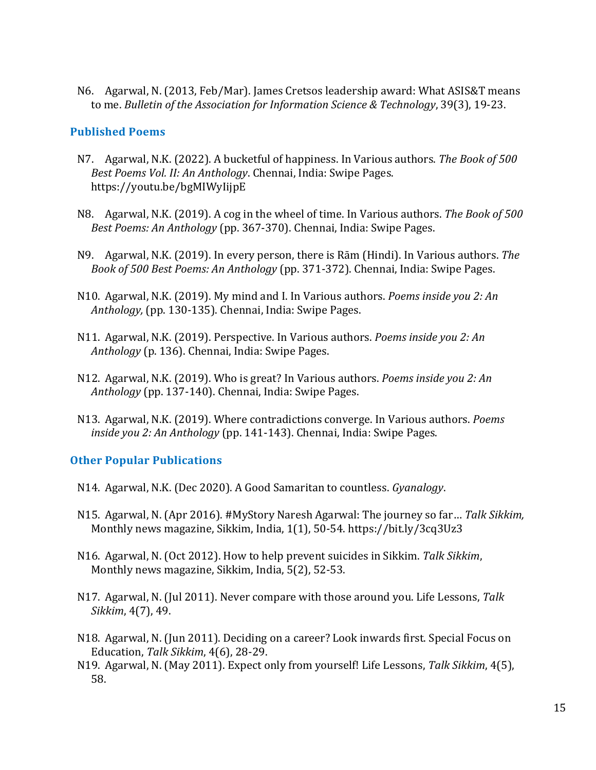N6. Agarwal, N. (2013, Feb/Mar). James Cretsos leadership award: What ASIS&T means to me. *Bulletin of the Association for Information Science & Technology*, 39(3), 19-23.

#### **Published Poems**

- N7. Agarwal, N.K. (2022). A bucketful of happiness. In Various authors. *The Book of 500 Best Poems Vol. II: An Anthology*. Chennai, India: Swipe Pages. https://youtu.be/bgMIWyIijpE
- N8. Agarwal, N.K. (2019). A cog in the wheel of time. In Various authors. *The Book of 500 Best Poems: An Anthology* (pp. 367-370). Chennai, India: Swipe Pages.
- N9. Agarwal, N.K. (2019). In every person, there is Rām (Hindi). In Various authors. *The Book of 500 Best Poems: An Anthology* (pp. 371-372). Chennai, India: Swipe Pages.
- N10. Agarwal, N.K. (2019). My mind and I. In Various authors. *Poems inside you 2: An Anthology,* (pp. 130-135). Chennai, India: Swipe Pages.
- N11. Agarwal, N.K. (2019). Perspective. In Various authors. *Poems inside you 2: An Anthology* (p. 136). Chennai, India: Swipe Pages.
- N12. Agarwal, N.K. (2019). Who is great? In Various authors. *Poems inside you 2: An Anthology* (pp. 137-140). Chennai, India: Swipe Pages.
- N13. Agarwal, N.K. (2019). Where contradictions converge. In Various authors. *Poems inside you 2: An Anthology* (pp. 141-143). Chennai, India: Swipe Pages.

#### **Other Popular Publications**

- N14. Agarwal, N.K. (Dec 2020). A Good Samaritan to countless. *Gyanalogy*.
- N15. Agarwal, N. (Apr 2016). #MyStory Naresh Agarwal: The journey so far… *Talk Sikkim,*  Monthly news magazine, Sikkim, India, 1(1), 50-54. https://bit.ly/3cq3Uz3
- N16. Agarwal, N. (Oct 2012). How to help prevent suicides in Sikkim. *Talk Sikkim*, Monthly news magazine, Sikkim, India, 5(2), 52-53.
- N17. Agarwal, N. (Jul 2011). Never compare with those around you. Life Lessons, *Talk Sikkim*, 4(7), 49.
- N18. Agarwal, N. (Jun 2011). Deciding on a career? Look inwards first. Special Focus on Education, *Talk Sikkim*, 4(6), 28-29.
- N19. Agarwal, N. (May 2011). Expect only from yourself! Life Lessons, *Talk Sikkim*, 4(5), 58.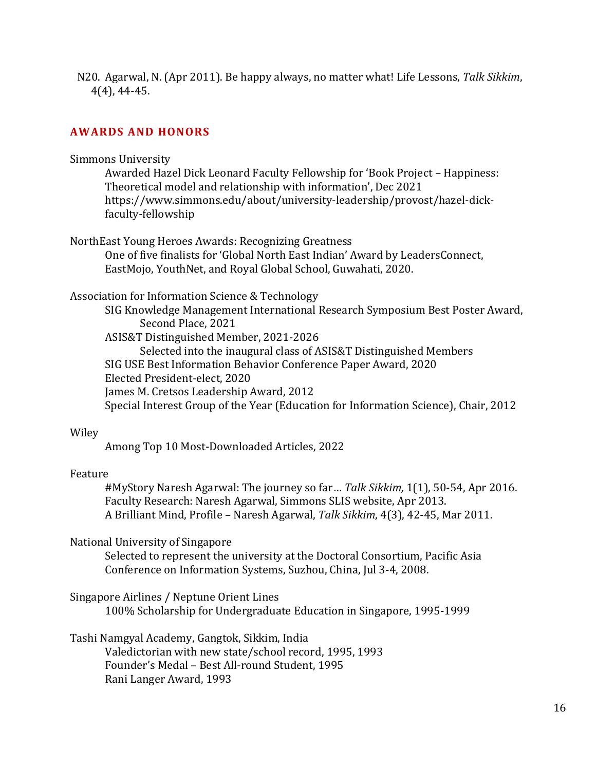N20. Agarwal, N. (Apr 2011). Be happy always, no matter what! Life Lessons, *Talk Sikkim*, 4(4), 44-45.

# **AWARDS AND HONORS**

#### Simmons University

Awarded Hazel Dick Leonard Faculty Fellowship for 'Book Project – Happiness: Theoretical model and relationship with information', Dec 2021 https://www.simmons.edu/about/university-leadership/provost/hazel-dickfaculty-fellowship

NorthEast Young Heroes Awards: Recognizing Greatness

One of five finalists for 'Global North East Indian' Award by LeadersConnect, EastMojo, YouthNet, and Royal Global School, Guwahati, 2020.

#### Association for Information Science & Technology

SIG Knowledge Management International Research Symposium Best Poster Award, Second Place, 2021

ASIS&T Distinguished Member, 2021-2026

Selected into the inaugural class of ASIS&T Distinguished Members SIG USE Best Information Behavior Conference Paper Award, 2020 Elected President-elect, 2020 James M. Cretsos Leadership Award, 2012 Special Interest Group of the Year (Education for Information Science), Chair, 2012

#### Wiley

Among Top 10 Most-Downloaded Articles, 2022

#### Feature

#MyStory Naresh Agarwal: The journey so far… *Talk Sikkim,* 1(1), 50-54, Apr 2016. Faculty Research: Naresh Agarwal, Simmons SLIS website, Apr 2013. A Brilliant Mind, Profile – Naresh Agarwal, *Talk Sikkim*, 4(3), 42-45, Mar 2011.

#### National University of Singapore

Selected to represent the university at the Doctoral Consortium, Pacific Asia Conference on Information Systems, Suzhou, China, Jul 3-4, 2008.

Singapore Airlines / Neptune Orient Lines

100% Scholarship for Undergraduate Education in Singapore, 1995-1999

Tashi Namgyal Academy, Gangtok, Sikkim, India

Valedictorian with new state/school record, 1995, 1993 Founder's Medal – Best All-round Student, 1995 Rani Langer Award, 1993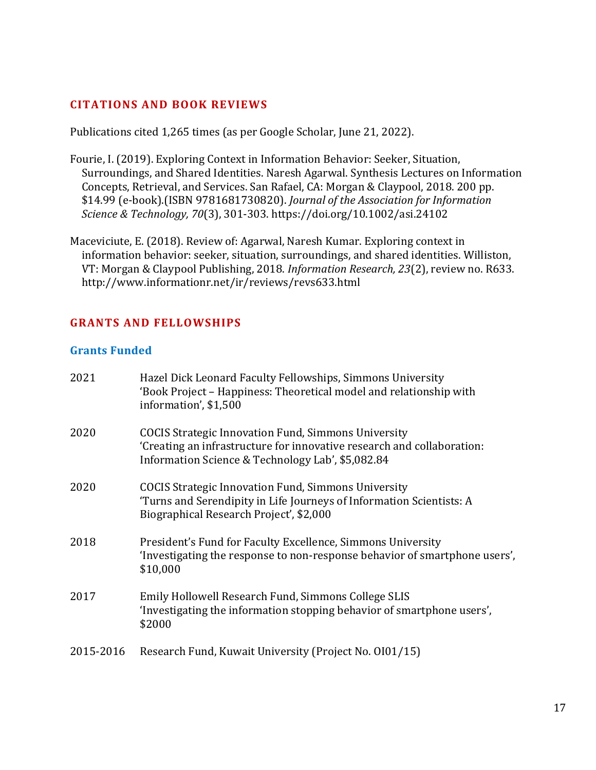### **CITATIONS AND BOOK REVIEWS**

Publications cited 1,265 times (as per Google Scholar, June 21, 2022).

- Fourie, I. (2019). Exploring Context in Information Behavior: Seeker, Situation, Surroundings, and Shared Identities. Naresh Agarwal. Synthesis Lectures on Information Concepts, Retrieval, and Services. San Rafael, CA: Morgan & Claypool, 2018. 200 pp. \$14.99 (e‐book).(ISBN 9781681730820). *Journal of the Association for Information Science & Technology, 70*(3), 301-303. https://doi.org/10.1002/asi.24102
- Maceviciute, E. (2018). Review of: Agarwal, Naresh Kumar. Exploring context in information behavior: seeker, situation, surroundings, and shared identities. Williston, VT: Morgan & Claypool Publishing, 2018. *Information Research, 23*(2), review no. R633. http://www.informationr.net/ir/reviews/revs633.html

# **GRANTS AND FELLOWSHIPS**

#### **Grants Funded**

| 2021      | Hazel Dick Leonard Faculty Fellowships, Simmons University<br>'Book Project – Happiness: Theoretical model and relationship with<br>information', \$1,500                                 |
|-----------|-------------------------------------------------------------------------------------------------------------------------------------------------------------------------------------------|
| 2020      | <b>COCIS Strategic Innovation Fund, Simmons University</b><br>'Creating an infrastructure for innovative research and collaboration:<br>Information Science & Technology Lab', \$5,082.84 |
| 2020      | <b>COCIS Strategic Innovation Fund, Simmons University</b><br>'Turns and Serendipity in Life Journeys of Information Scientists: A<br>Biographical Research Project', \$2,000             |
| 2018      | President's Fund for Faculty Excellence, Simmons University<br>'Investigating the response to non-response behavior of smartphone users',<br>\$10,000                                     |
| 2017      | Emily Hollowell Research Fund, Simmons College SLIS<br>'Investigating the information stopping behavior of smartphone users',<br>\$2000                                                   |
| 2015-2016 | Research Fund, Kuwait University (Project No. 0101/15)                                                                                                                                    |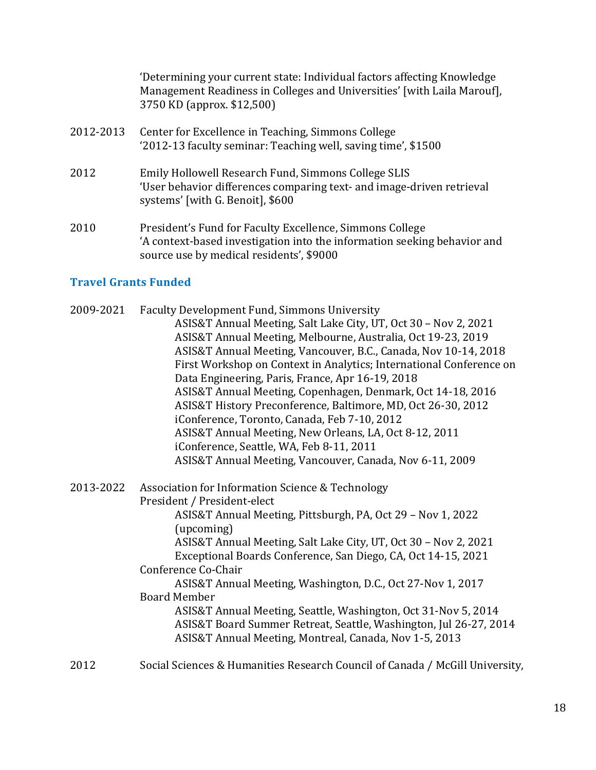'Determining your current state: Individual factors affecting Knowledge Management Readiness in Colleges and Universities' [with Laila Marouf], 3750 KD (approx. \$12,500)

- 2012-2013 Center for Excellence in Teaching, Simmons College '2012-13 faculty seminar: Teaching well, saving time', \$1500
- 2012 Emily Hollowell Research Fund, Simmons College SLIS 'User behavior differences comparing text- and image-driven retrieval systems' [with G. Benoit], \$600
- 2010 President's Fund for Faculty Excellence, Simmons College 'A context-based investigation into the information seeking behavior and source use by medical residents', \$9000

# **Travel Grants Funded**

| 2009-2021 | <b>Faculty Development Fund, Simmons University</b><br>ASIS&T Annual Meeting, Salt Lake City, UT, Oct 30 - Nov 2, 2021 |
|-----------|------------------------------------------------------------------------------------------------------------------------|
|           | ASIS&T Annual Meeting, Melbourne, Australia, Oct 19-23, 2019                                                           |
|           | ASIS&T Annual Meeting, Vancouver, B.C., Canada, Nov 10-14, 2018                                                        |
|           | First Workshop on Context in Analytics; International Conference on                                                    |
|           | Data Engineering, Paris, France, Apr 16-19, 2018                                                                       |
|           | ASIS&T Annual Meeting, Copenhagen, Denmark, Oct 14-18, 2016                                                            |
|           | ASIS&T History Preconference, Baltimore, MD, Oct 26-30, 2012                                                           |
|           | iConference, Toronto, Canada, Feb 7-10, 2012                                                                           |
|           | ASIS&T Annual Meeting, New Orleans, LA, Oct 8-12, 2011                                                                 |
|           | iConference, Seattle, WA, Feb 8-11, 2011                                                                               |
|           | ASIS&T Annual Meeting, Vancouver, Canada, Nov 6-11, 2009                                                               |
| 2013-2022 | Association for Information Science & Technology                                                                       |
|           | President / President-elect                                                                                            |
|           | ASIS&T Annual Meeting, Pittsburgh, PA, Oct 29 - Nov 1, 2022                                                            |
|           | (upcoming)                                                                                                             |
|           | ASIS&T Annual Meeting, Salt Lake City, UT, Oct 30 - Nov 2, 2021                                                        |
|           | Exceptional Boards Conference, San Diego, CA, Oct 14-15, 2021                                                          |
|           | Conference Co-Chair                                                                                                    |
|           | ASIS&T Annual Meeting, Washington, D.C., Oct 27-Nov 1, 2017                                                            |
|           | <b>Board Member</b>                                                                                                    |
|           | ASIS&T Annual Meeting, Seattle, Washington, Oct 31-Nov 5, 2014                                                         |
|           | ASIS&T Board Summer Retreat, Seattle, Washington, Jul 26-27, 2014                                                      |
|           | ASIS&T Annual Meeting, Montreal, Canada, Nov 1-5, 2013                                                                 |
| 2012      | Social Sciences & Humanities Research Council of Canada / McGill University,                                           |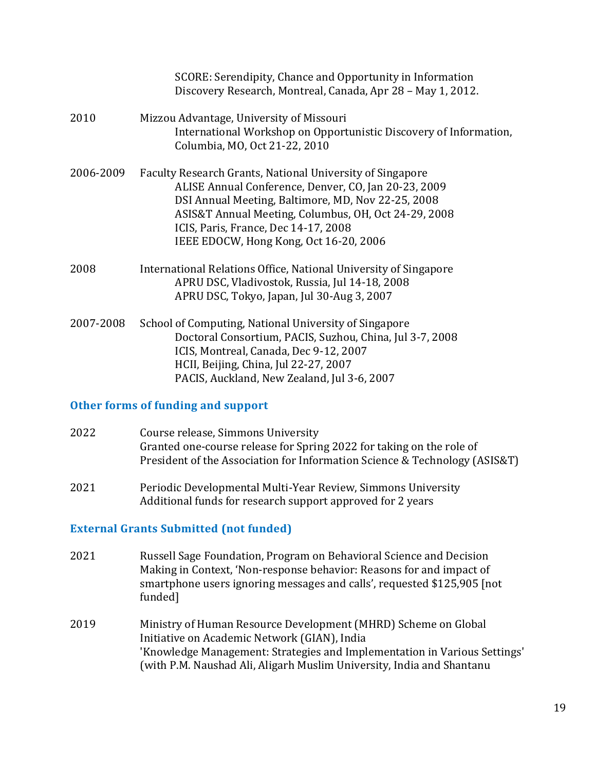|           | SCORE: Serendipity, Chance and Opportunity in Information<br>Discovery Research, Montreal, Canada, Apr 28 - May 1, 2012.                                                                                                                                                                                          |
|-----------|-------------------------------------------------------------------------------------------------------------------------------------------------------------------------------------------------------------------------------------------------------------------------------------------------------------------|
| 2010      | Mizzou Advantage, University of Missouri<br>International Workshop on Opportunistic Discovery of Information,<br>Columbia, MO, Oct 21-22, 2010                                                                                                                                                                    |
| 2006-2009 | Faculty Research Grants, National University of Singapore<br>ALISE Annual Conference, Denver, CO, Jan 20-23, 2009<br>DSI Annual Meeting, Baltimore, MD, Nov 22-25, 2008<br>ASIS&T Annual Meeting, Columbus, OH, Oct 24-29, 2008<br>ICIS, Paris, France, Dec 14-17, 2008<br>IEEE EDOCW, Hong Kong, Oct 16-20, 2006 |
| 2008      | International Relations Office, National University of Singapore<br>APRU DSC, Vladivostok, Russia, Jul 14-18, 2008<br>APRU DSC, Tokyo, Japan, Jul 30-Aug 3, 2007                                                                                                                                                  |
| 2007-2008 | School of Computing, National University of Singapore<br>Doctoral Consortium, PACIS, Suzhou, China, Jul 3-7, 2008<br>ICIS, Montreal, Canada, Dec 9-12, 2007<br>HCII, Beijing, China, Jul 22-27, 2007<br>PACIS, Auckland, New Zealand, Jul 3-6, 2007                                                               |

#### **Other forms of funding and support**

- 2022 Course release, Simmons University Granted one-course release for Spring 2022 for taking on the role of President of the Association for Information Science & Technology (ASIS&T)
- 2021 Periodic Developmental Multi-Year Review, Simmons University Additional funds for research support approved for 2 years

#### **External Grants Submitted (not funded)**

- 2021 Russell Sage Foundation, Program on Behavioral Science and Decision Making in Context, 'Non-response behavior: Reasons for and impact of smartphone users ignoring messages and calls', requested \$125,905 [not funded]
- 2019 Ministry of Human Resource Development (MHRD) Scheme on Global Initiative on Academic Network (GIAN), India 'Knowledge Management: Strategies and Implementation in Various Settings' (with P.M. Naushad Ali, Aligarh Muslim University, India and Shantanu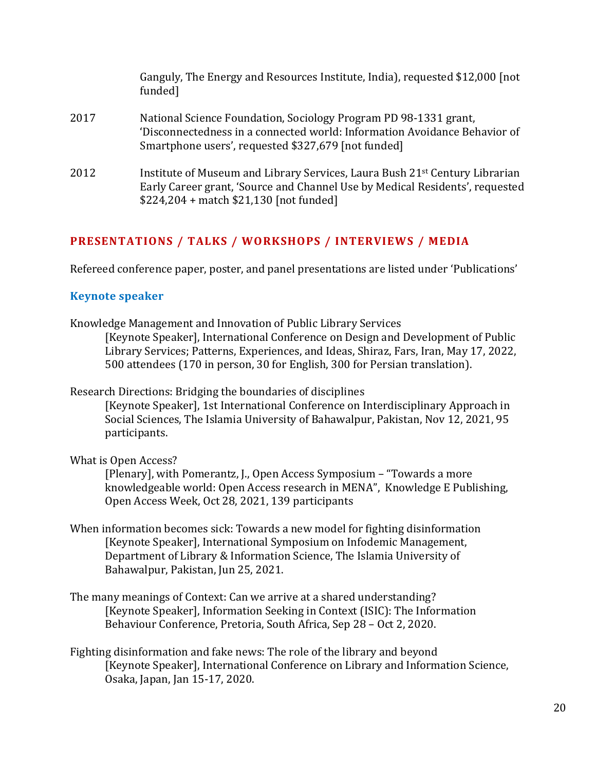|      | Ganguly, The Energy and Resources Institute, India), requested \$12,000 [not]<br>funded]                                                                                                                           |
|------|--------------------------------------------------------------------------------------------------------------------------------------------------------------------------------------------------------------------|
| 2017 | National Science Foundation, Sociology Program PD 98-1331 grant,<br>'Disconnectedness in a connected world: Information Avoidance Behavior of<br>Smartphone users', requested \$327,679 [not funded]               |
| 2012 | Institute of Museum and Library Services, Laura Bush 21 <sup>st</sup> Century Librarian<br>Early Career grant, 'Source and Channel Use by Medical Residents', requested<br>$$224,204 + match $21,130$ [not funded] |

# **PRESENTATIONS / TALKS / WORKSHOPS / INTERVIEWS / MEDIA**

Refereed conference paper, poster, and panel presentations are listed under 'Publications'

#### **Keynote speaker**

Knowledge Management and Innovation of Public Library Services

[Keynote Speaker], International Conference on Design and Development of Public Library Services; Patterns, Experiences, and Ideas, Shiraz, Fars, Iran, May 17, 2022, 500 attendees (170 in person, 30 for English, 300 for Persian translation).

Research Directions: Bridging the boundaries of disciplines

[Keynote Speaker], 1st International Conference on Interdisciplinary Approach in Social Sciences, The Islamia University of Bahawalpur, Pakistan, Nov 12, 2021, 95 participants.

What is Open Access?

[Plenary], with Pomerantz, J., Open Access Symposium – "Towards a more knowledgeable world: Open Access research in MENA", Knowledge E Publishing, Open Access Week, Oct 28, 2021, 139 participants

- When information becomes sick: Towards a new model for fighting disinformation [Keynote Speaker], International Symposium on Infodemic Management, Department of Library & Information Science, The Islamia University of Bahawalpur, Pakistan, Jun 25, 2021.
- The many meanings of Context: Can we arrive at a shared understanding? [Keynote Speaker], Information Seeking in Context (ISIC): The Information Behaviour Conference, Pretoria, South Africa, Sep 28 – Oct 2, 2020.
- Fighting disinformation and fake news: The role of the library and beyond [Keynote Speaker], International Conference on Library and Information Science, Osaka, Japan, Jan 15-17, 2020.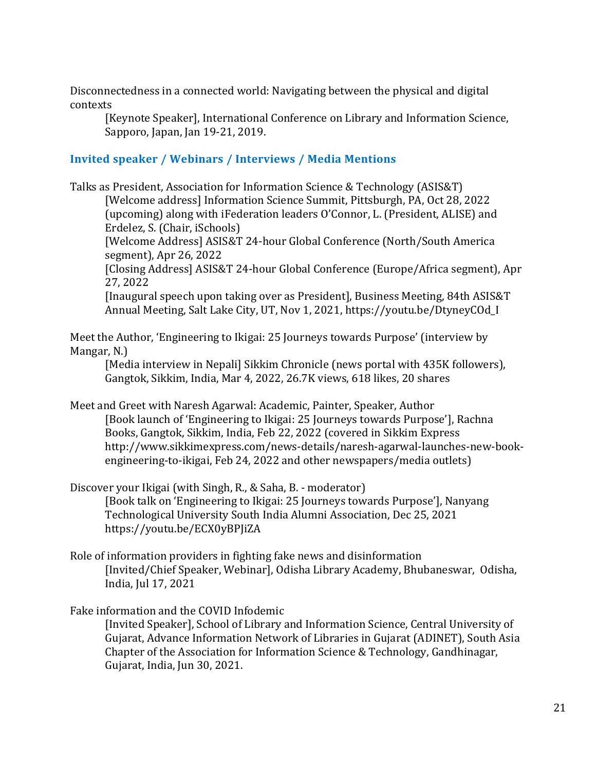Disconnectedness in a connected world: Navigating between the physical and digital contexts

[Keynote Speaker], International Conference on Library and Information Science, Sapporo, Japan, Jan 19-21, 2019.

### **Invited speaker / Webinars / Interviews / Media Mentions**

Talks as President, Association for Information Science & Technology (ASIS&T) [Welcome address] Information Science Summit, Pittsburgh, PA, Oct 28, 2022 (upcoming) along with iFederation leaders O'Connor, L. (President, ALISE) and Erdelez, S. (Chair, iSchools)

[Welcome Address] ASIS&T 24-hour Global Conference (North/South America segment), Apr 26, 2022

[Closing Address] ASIS&T 24-hour Global Conference (Europe/Africa segment), Apr 27, 2022

[Inaugural speech upon taking over as President], Business Meeting, 84th ASIS&T Annual Meeting, Salt Lake City, UT, Nov 1, 2021, https://youtu.be/DtyneyCOd\_I

Meet the Author, 'Engineering to Ikigai: 25 Journeys towards Purpose' (interview by Mangar, N.)

[Media interview in Nepali] Sikkim Chronicle (news portal with 435K followers), Gangtok, Sikkim, India, Mar 4, 2022, 26.7K views, 618 likes, 20 shares

Meet and Greet with Naresh Agarwal: Academic, Painter, Speaker, Author [Book launch of 'Engineering to Ikigai: 25 Journeys towards Purpose'], Rachna Books, Gangtok, Sikkim, India, Feb 22, 2022 (covered in Sikkim Express http://www.sikkimexpress.com/news-details/naresh-agarwal-launches-new-bookengineering-to-ikigai, Feb 24, 2022 and other newspapers/media outlets)

Discover your Ikigai (with Singh, R., & Saha, B. - moderator) [Book talk on 'Engineering to Ikigai: 25 Journeys towards Purpose'], Nanyang Technological University South India Alumni Association, Dec 25, 2021 <https://youtu.be/ECX0yBPJiZA>

Role of information providers in fighting fake news and disinformation [Invited/Chief Speaker, Webinar], Odisha Library Academy, Bhubaneswar, Odisha, India, Jul 17, 2021

#### Fake information and the COVID Infodemic

[Invited Speaker], School of Library and Information Science, Central University of Gujarat, Advance Information Network of Libraries in Gujarat (ADINET), South Asia Chapter of the Association for Information Science & Technology, Gandhinagar, Gujarat, India, Jun 30, 2021.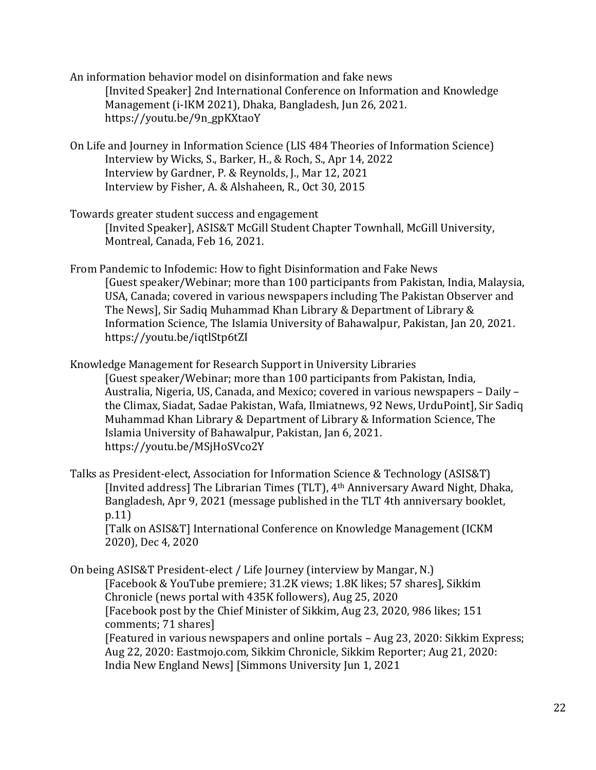An information behavior model on disinformation and fake news [Invited Speaker] 2nd International Conference on Information and Knowledge Management (i-IKM 2021), Dhaka, Bangladesh, Jun 26, 2021. https://youtu.be/9n\_gpKXtaoY

On Life and Journey in Information Science (LIS 484 Theories of Information Science) Interview by Wicks, S., Barker, H., & Roch, S., Apr 14, 2022 Interview by Gardner, P. & Reynolds, J., Mar 12, 2021 Interview by Fisher, A. & Alshaheen, R., Oct 30, 2015

Towards greater student success and engagement [Invited Speaker], ASIS&T McGill Student Chapter Townhall, McGill University, Montreal, Canada, Feb 16, 2021.

From Pandemic to Infodemic: How to fight Disinformation and Fake News [Guest speaker/Webinar; more than 100 participants from Pakistan, India, Malaysia, USA, Canada; covered in various newspapers including The Pakistan Observer and The News], Sir Sadiq Muhammad Khan Library & Department of Library & Information Science, The Islamia University of Bahawalpur, Pakistan, Jan 20, 2021. <https://youtu.be/iqtlStp6tZI>

Knowledge Management for Research Support in University Libraries [Guest speaker/Webinar; more than 100 participants from Pakistan, India, Australia, Nigeria, US, Canada, and Mexico; covered in various newspapers – Daily – the Climax, Siadat, Sadae Pakistan, Wafa, Ilmiatnews, 92 News, UrduPoint], Sir Sadiq Muhammad Khan Library & Department of Library & Information Science, The Islamia University of Bahawalpur, Pakistan, Jan 6, 2021. <https://youtu.be/MSjHoSVco2Y>

Talks as President-elect, Association for Information Science & Technology (ASIS&T) [Invited address] The Librarian Times (TLT), 4th Anniversary Award Night, Dhaka, Bangladesh, Apr 9, 2021 (message published in the TLT 4th anniversary booklet, p.11)

[Talk on ASIS&T] International Conference on Knowledge Management (ICKM 2020), Dec 4, 2020

On being ASIS&T President-elect / Life Journey (interview by Mangar, N.) [Facebook & YouTube premiere; 31.2K views; 1.8K likes; 57 shares], Sikkim Chronicle (news portal with 435K followers), Aug 25, 2020 [Facebook post by the Chief Minister of Sikkim, Aug 23, 2020, 986 likes; 151 comments; 71 shares] [Featured in various newspapers and online portals – Aug 23, 2020: Sikkim Express; Aug 22, 2020: Eastmojo.com, Sikkim Chronicle, Sikkim Reporter; Aug 21, 2020: India New England News] [Simmons University Jun 1, 2021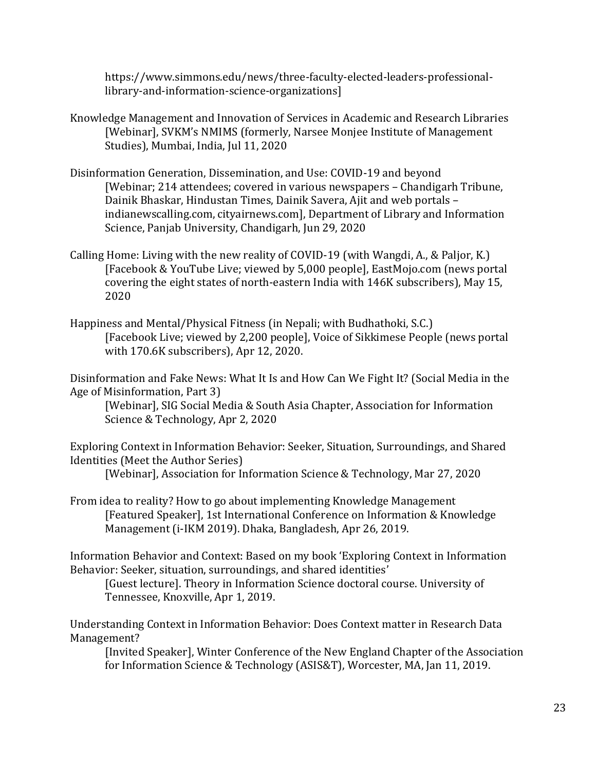[https://www.simmons.edu/news/three-faculty-elected-leaders-professional](https://www.simmons.edu/news/three-faculty-elected-leaders-professional-library-and-information-science-organizations)[library-and-information-science-organizations\]](https://www.simmons.edu/news/three-faculty-elected-leaders-professional-library-and-information-science-organizations)

- Knowledge Management and Innovation of Services in Academic and Research Libraries [Webinar], SVKM's NMIMS (formerly, Narsee Monjee Institute of Management Studies), Mumbai, India, Jul 11, 2020
- Disinformation Generation, Dissemination, and Use: COVID-19 and beyond [Webinar; 214 attendees; covered in various newspapers – Chandigarh Tribune, Dainik Bhaskar, Hindustan Times, Dainik Savera, Ajit and web portals – indianewscalling.com, cityairnews.com], Department of Library and Information Science, Panjab University, Chandigarh, Jun 29, 2020
- Calling Home: Living with the new reality of COVID-19 (with Wangdi, A., & Paljor, K.) [Facebook & YouTube Live; viewed by 5,000 people], EastMojo.com (news portal covering the eight states of north-eastern India with 146K subscribers), May 15, 2020
- Happiness and Mental/Physical Fitness (in Nepali; with Budhathoki, S.C.) [Facebook Live; viewed by 2,200 people], Voice of Sikkimese People (news portal with 170.6K subscribers), Apr 12, 2020.

Disinformation and Fake News: What It Is and How Can We Fight It? (Social Media in the Age of Misinformation, Part 3)

[Webinar], SIG Social Media & South Asia Chapter, Association for Information Science & Technology, Apr 2, 2020

Exploring Context in Information Behavior: Seeker, Situation, Surroundings, and Shared Identities (Meet the Author Series)

[Webinar], Association for Information Science & Technology, Mar 27, 2020

From idea to reality? How to go about implementing Knowledge Management [Featured Speaker], 1st International Conference on Information & Knowledge Management (i-IKM 2019). Dhaka, Bangladesh, Apr 26, 2019.

Information Behavior and Context: Based on my book 'Exploring Context in Information Behavior: Seeker, situation, surroundings, and shared identities'

[Guest lecture]. Theory in Information Science doctoral course. University of Tennessee, Knoxville, Apr 1, 2019.

Understanding Context in Information Behavior: Does Context matter in Research Data Management?

[Invited Speaker], Winter Conference of the New England Chapter of the Association for Information Science & Technology (ASIS&T), Worcester, MA, Jan 11, 2019.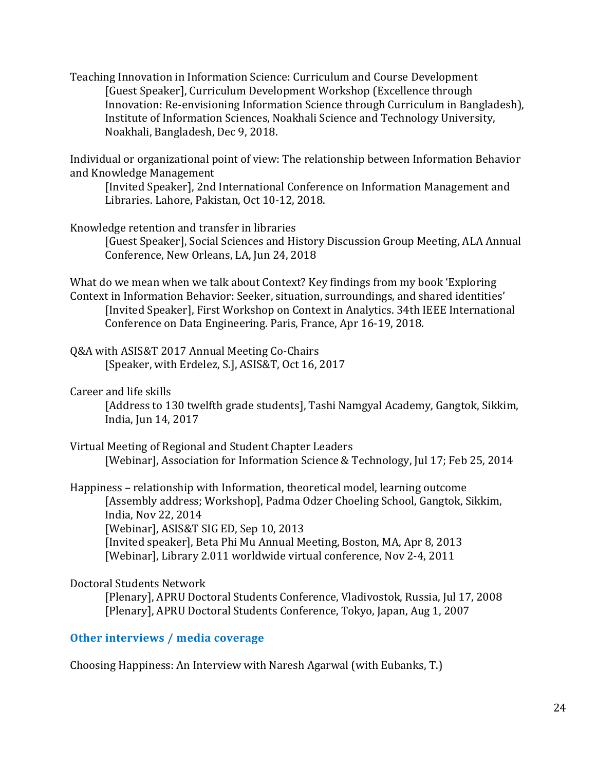Teaching Innovation in Information Science: Curriculum and Course Development [Guest Speaker], Curriculum Development Workshop (Excellence through Innovation: Re-envisioning Information Science through Curriculum in Bangladesh), Institute of Information Sciences, Noakhali Science and Technology University, Noakhali, Bangladesh, Dec 9, 2018.

Individual or organizational point of view: The relationship between Information Behavior and Knowledge Management

[Invited Speaker], 2nd International Conference on Information Management and Libraries. Lahore, Pakistan, Oct 10-12, 2018.

Knowledge retention and transfer in libraries

[Guest Speaker], Social Sciences and History Discussion Group Meeting, ALA Annual Conference, New Orleans, LA, Jun 24, 2018

What do we mean when we talk about Context? Key findings from my book 'Exploring Context in Information Behavior: Seeker, situation, surroundings, and shared identities' [Invited Speaker], First Workshop on Context in Analytics. 34th IEEE International Conference on Data Engineering. Paris, France, Apr 16-19, 2018.

- Q&A with ASIS&T 2017 Annual Meeting Co-Chairs [Speaker, with Erdelez, S.], ASIS&T, Oct 16, 2017
- Career and life skills

[Address to 130 twelfth grade students], Tashi Namgyal Academy, Gangtok, Sikkim, India, Jun 14, 2017

Virtual Meeting of Regional and Student Chapter Leaders [Webinar], Association for Information Science & Technology, Jul 17; Feb 25, 2014

Happiness – relationship with Information, theoretical model, learning outcome [Assembly address; Workshop], Padma Odzer Choeling School, Gangtok, Sikkim, India, Nov 22, 2014 [Webinar], ASIS&T SIG ED, Sep 10, 2013 [Invited speaker], Beta Phi Mu Annual Meeting, Boston, MA, Apr 8, 2013 [Webinar], Library 2.011 worldwide virtual conference, Nov 2-4, 2011

#### Doctoral Students Network

[Plenary], APRU Doctoral Students Conference, Vladivostok, Russia, Jul 17, 2008 [Plenary], APRU Doctoral Students Conference, Tokyo, Japan, Aug 1, 2007

### **Other interviews / media coverage**

Choosing Happiness: An Interview with Naresh Agarwal (with Eubanks, T.)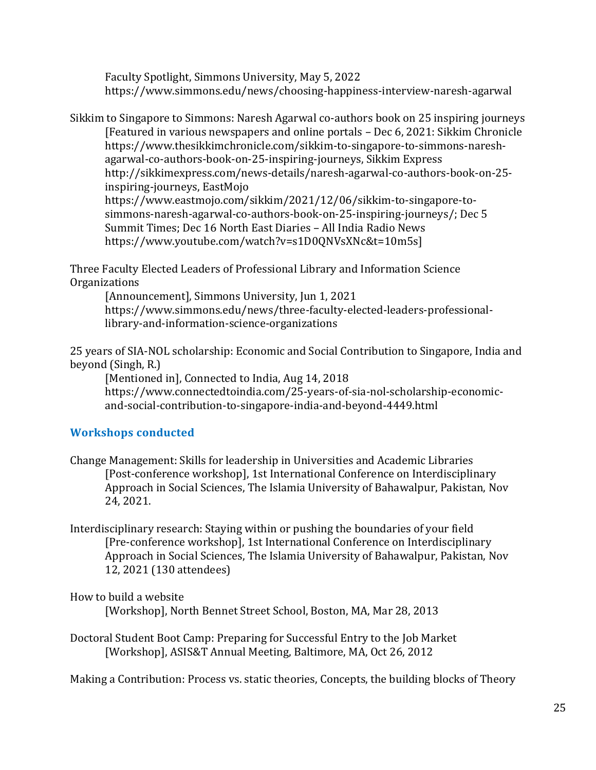Faculty Spotlight, Simmons University, May 5, 2022 https://www.simmons.edu/news/choosing-happiness-interview-naresh-agarwal

Sikkim to Singapore to Simmons: Naresh Agarwal co-authors book on 25 inspiring journeys [Featured in various newspapers and online portals – Dec 6, 2021: Sikkim Chronicle [https://www.thesikkimchronicle.com/sikkim-to-singapore-to-simmons-naresh](https://www.thesikkimchronicle.com/sikkim-to-singapore-to-simmons-naresh-agarwal-co-authors-book-on-25-inspiring-journeys)[agarwal-co-authors-book-on-25-inspiring-journeys,](https://www.thesikkimchronicle.com/sikkim-to-singapore-to-simmons-naresh-agarwal-co-authors-book-on-25-inspiring-journeys) Sikkim Express [http://sikkimexpress.com/news-details/naresh-agarwal-co-authors-book-on-25](http://sikkimexpress.com/news-details/naresh-agarwal-co-authors-book-on-25-inspiring-journeys) [inspiring-journeys,](http://sikkimexpress.com/news-details/naresh-agarwal-co-authors-book-on-25-inspiring-journeys) EastMojo [https://www.eastmojo.com/sikkim/2021/12/06/sikkim-to-singapore-to](https://www.eastmojo.com/sikkim/2021/12/06/sikkim-to-singapore-to-simmons-naresh-agarwal-co-authors-book-on-25-inspiring-journeys/)[simmons-naresh-agarwal-co-authors-book-on-25-inspiring-journeys/;](https://www.eastmojo.com/sikkim/2021/12/06/sikkim-to-singapore-to-simmons-naresh-agarwal-co-authors-book-on-25-inspiring-journeys/) Dec 5 Summit Times; Dec 16 North East Diaries – All India Radio News [https://www.youtube.com/watch?v=s1D0QNVsXNc&t=10m5s\]](https://www.youtube.com/watch?v=s1D0QNVsXNc&t=10m5s)

Three Faculty Elected Leaders of Professional Library and Information Science Organizations

[Announcement], Simmons University, Jun 1, 2021 https://www.simmons.edu/news/three-faculty-elected-leaders-professionallibrary-and-information-science-organizations

25 years of SIA-NOL scholarship: Economic and Social Contribution to Singapore, India and beyond (Singh, R.)

[Mentioned in], Connected to India, Aug 14, 2018 https://www.connectedtoindia.com/25-years-of-sia-nol-scholarship-economicand-social-contribution-to-singapore-india-and-beyond-4449.html

# **Workshops conducted**

- Change Management: Skills for leadership in Universities and Academic Libraries [Post-conference workshop], 1st International Conference on Interdisciplinary Approach in Social Sciences, The Islamia University of Bahawalpur, Pakistan, Nov 24, 2021.
- Interdisciplinary research: Staying within or pushing the boundaries of your field [Pre-conference workshop], 1st International Conference on Interdisciplinary Approach in Social Sciences, The Islamia University of Bahawalpur, Pakistan, Nov 12, 2021 (130 attendees)

How to build a website

[Workshop], North Bennet Street School, Boston, MA, Mar 28, 2013

Doctoral Student Boot Camp: Preparing for Successful Entry to the Job Market [Workshop], ASIS&T Annual Meeting, Baltimore, MA, Oct 26, 2012

Making a Contribution: Process vs. static theories, Concepts, the building blocks of Theory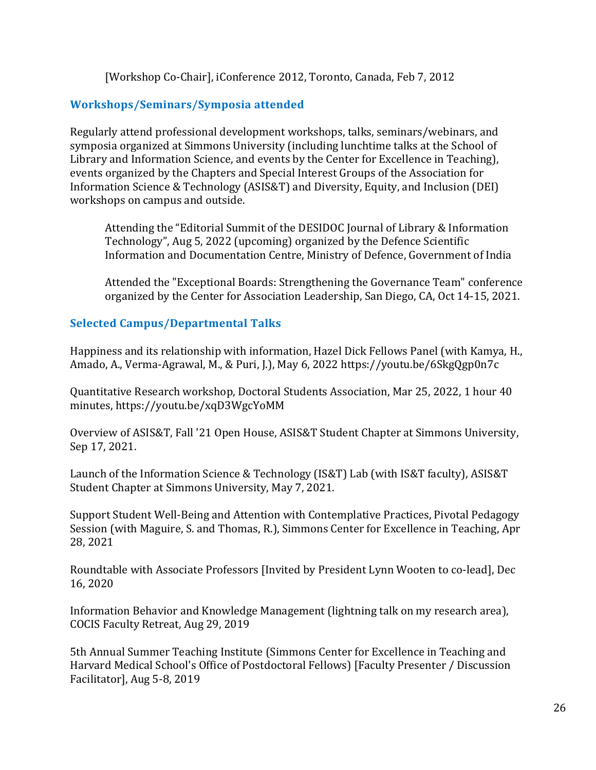[Workshop Co-Chair], iConference 2012, Toronto, Canada, Feb 7, 2012

# **Workshops/Seminars/Symposia attended**

Regularly attend professional development workshops, talks, seminars/webinars, and symposia organized at Simmons University (including lunchtime talks at the School of Library and Information Science, and events by the Center for Excellence in Teaching), events organized by the Chapters and Special Interest Groups of the Association for Information Science & Technology (ASIS&T) and Diversity, Equity, and Inclusion (DEI) workshops on campus and outside.

Attending the "Editorial Summit of the DESIDOC Journal of Library & Information Technology", Aug 5, 2022 (upcoming) organized by the Defence Scientific Information and Documentation Centre, Ministry of Defence, Government of India

Attended the "Exceptional Boards: Strengthening the Governance Team" conference organized by the Center for Association Leadership, San Diego, CA, Oct 14-15, 2021.

### **Selected Campus/Departmental Talks**

Happiness and its relationship with information, Hazel Dick Fellows Panel (with Kamya, H., Amado, A., Verma-Agrawal, M., & Puri, J.), May 6, 2022 https://youtu.be/6SkgQgp0n7c

Quantitative Research workshop, Doctoral Students Association, Mar 25, 2022, 1 hour 40 minutes, https://youtu.be/xqD3WgcYoMM

Overview of ASIS&T, Fall '21 Open House, ASIS&T Student Chapter at Simmons University, Sep 17, 2021.

Launch of the Information Science & Technology (IS&T) Lab (with IS&T faculty), ASIS&T Student Chapter at Simmons University, May 7, 2021.

Support Student Well-Being and Attention with Contemplative Practices, Pivotal Pedagogy Session (with Maguire, S. and Thomas, R.), Simmons Center for Excellence in Teaching, Apr 28, 2021

Roundtable with Associate Professors [Invited by President Lynn Wooten to co-lead], Dec 16, 2020

Information Behavior and Knowledge Management (lightning talk on my research area), COCIS Faculty Retreat, Aug 29, 2019

5th Annual Summer Teaching Institute (Simmons Center for Excellence in Teaching and Harvard Medical School's Office of Postdoctoral Fellows) [Faculty Presenter / Discussion Facilitator], Aug 5-8, 2019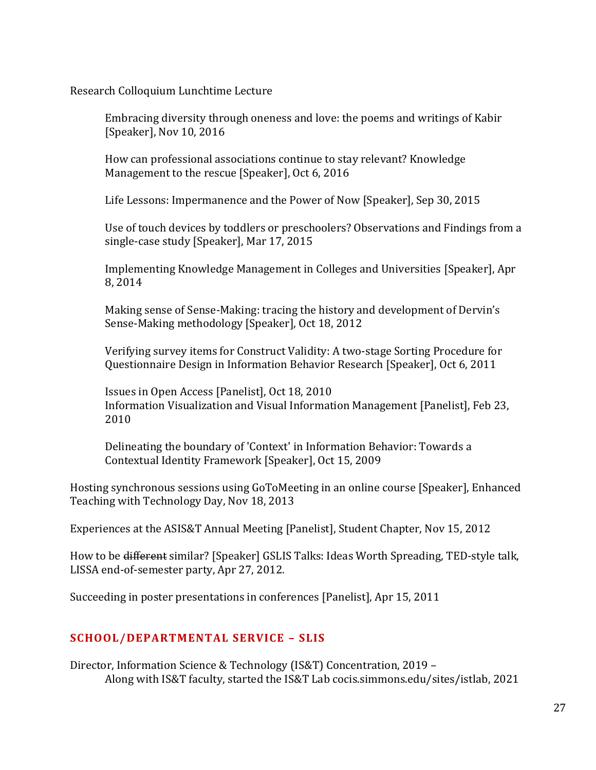Research Colloquium Lunchtime Lecture

Embracing diversity through oneness and love: the poems and writings of Kabir [Speaker], Nov 10, 2016

How can professional associations continue to stay relevant? Knowledge Management to the rescue [Speaker], Oct 6, 2016

Life Lessons: Impermanence and the Power of Now [Speaker], Sep 30, 2015

Use of touch devices by toddlers or preschoolers? Observations and Findings from a single-case study [Speaker], Mar 17, 2015

Implementing Knowledge Management in Colleges and Universities [Speaker], Apr 8, 2014

Making sense of Sense-Making: tracing the history and development of Dervin's Sense-Making methodology [Speaker], Oct 18, 2012

Verifying survey items for Construct Validity: A two-stage Sorting Procedure for Questionnaire Design in Information Behavior Research [Speaker], Oct 6, 2011

Issues in Open Access [Panelist], Oct 18, 2010 Information Visualization and Visual Information Management [Panelist], Feb 23, 2010

Delineating the boundary of 'Context' in Information Behavior: Towards a Contextual Identity Framework [Speaker], Oct 15, 2009

Hosting synchronous sessions using GoToMeeting in an online course [Speaker], Enhanced Teaching with Technology Day, Nov 18, 2013

Experiences at the ASIS&T Annual Meeting [Panelist], Student Chapter, Nov 15, 2012

How to be different similar? [Speaker] GSLIS Talks: Ideas Worth Spreading, TED-style talk, LISSA end-of-semester party, Apr 27, 2012.

Succeeding in poster presentations in conferences [Panelist], Apr 15, 2011

### **SCHOOL/DEPARTMENTAL SERVICE – SLIS**

Director, Information Science & Technology (IS&T) Concentration, 2019 – Along with IS&T faculty, started the IS&T Lab cocis.simmons.edu/sites/istlab, 2021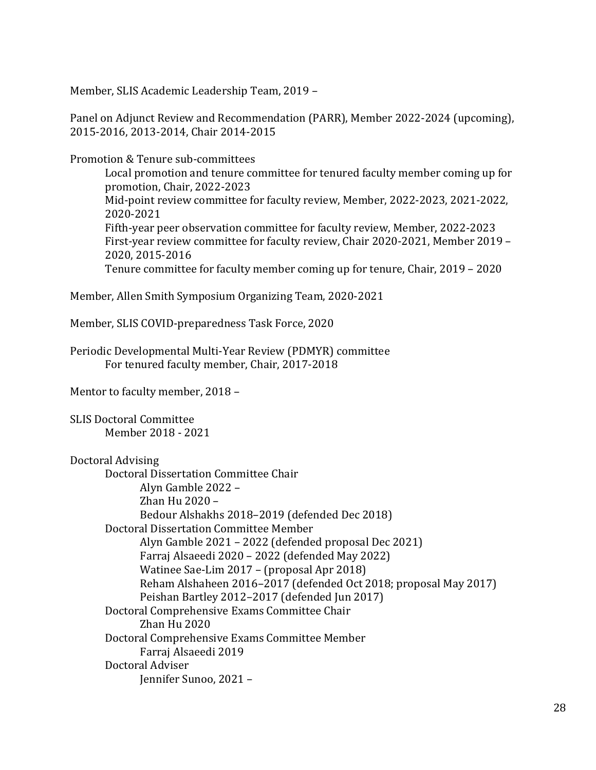Member, SLIS Academic Leadership Team, 2019 –

Panel on Adjunct Review and Recommendation (PARR), Member 2022-2024 (upcoming), 2015-2016, 2013-2014, Chair 2014-2015

Promotion & Tenure sub-committees

Local promotion and tenure committee for tenured faculty member coming up for promotion, Chair, 2022-2023 Mid-point review committee for faculty review, Member, 2022-2023, 2021-2022, 2020-2021 Fifth-year peer observation committee for faculty review, Member, 2022-2023 First-year review committee for faculty review, Chair 2020-2021, Member 2019 – 2020, 2015-2016 Tenure committee for faculty member coming up for tenure, Chair, 2019 – 2020

Member, Allen Smith Symposium Organizing Team, 2020-2021

Member, SLIS COVID-preparedness Task Force, 2020

Periodic Developmental Multi‐Year Review (PDMYR) committee For tenured faculty member, Chair, 2017-2018

Mentor to faculty member, 2018 –

SLIS Doctoral Committee Member 2018 - 2021

```
Doctoral Advising
```
Doctoral Dissertation Committee Chair Alyn Gamble 2022 – Zhan Hu 2020 – Bedour Alshakhs 2018–2019 (defended Dec 2018) Doctoral Dissertation Committee Member Alyn Gamble 2021 – 2022 (defended proposal Dec 2021) Farraj Alsaeedi 2020 – 2022 (defended May 2022) Watinee Sae-Lim 2017 – (proposal Apr 2018) Reham Alshaheen 2016–2017 (defended Oct 2018; proposal May 2017) Peishan Bartley 2012–2017 (defended Jun 2017) Doctoral Comprehensive Exams Committee Chair Zhan Hu 2020 Doctoral Comprehensive Exams Committee Member Farraj Alsaeedi 2019 Doctoral Adviser Jennifer Sunoo, 2021 –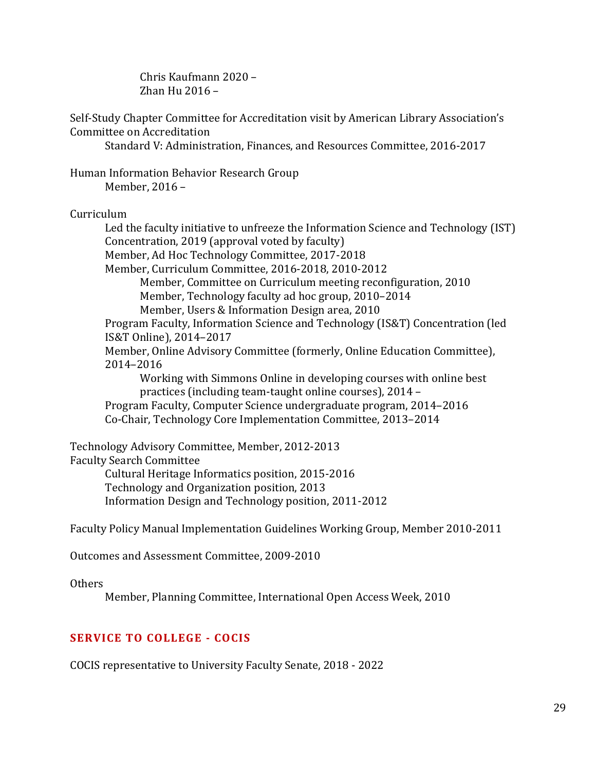Chris Kaufmann 2020 – Zhan Hu 2016 –

Self-Study Chapter Committee for Accreditation visit by American Library Association's Committee on Accreditation

Standard V: Administration, Finances, and Resources Committee, 2016-2017

Human Information Behavior Research Group Member, 2016 –

#### Curriculum

Led the faculty initiative to unfreeze the Information Science and Technology (IST) Concentration, 2019 (approval voted by faculty) Member, Ad Hoc Technology Committee, 2017-2018 Member, Curriculum Committee, 2016-2018, 2010-2012 Member, Committee on Curriculum meeting reconfiguration, 2010 Member, Technology faculty ad hoc group, 2010–2014 Member, Users & Information Design area, 2010 Program Faculty, Information Science and Technology (IS&T) Concentration (led IS&T Online), 2014–2017 Member, Online Advisory Committee (formerly, Online Education Committee), 2014–2016 Working with Simmons Online in developing courses with online best practices (including team-taught online courses), 2014 – Program Faculty, Computer Science undergraduate program, 2014–2016 Co-Chair, Technology Core Implementation Committee, 2013–2014

Technology Advisory Committee, Member, 2012-2013 Faculty Search Committee Cultural Heritage Informatics position, 2015-2016 Technology and Organization position, 2013 Information Design and Technology position, 2011-2012

Faculty Policy Manual Implementation Guidelines Working Group, Member 2010-2011

Outcomes and Assessment Committee, 2009-2010

Others

Member, Planning Committee, International Open Access Week, 2010

#### **SERVICE TO COLLEGE - COCIS**

COCIS representative to University Faculty Senate, 2018 - 2022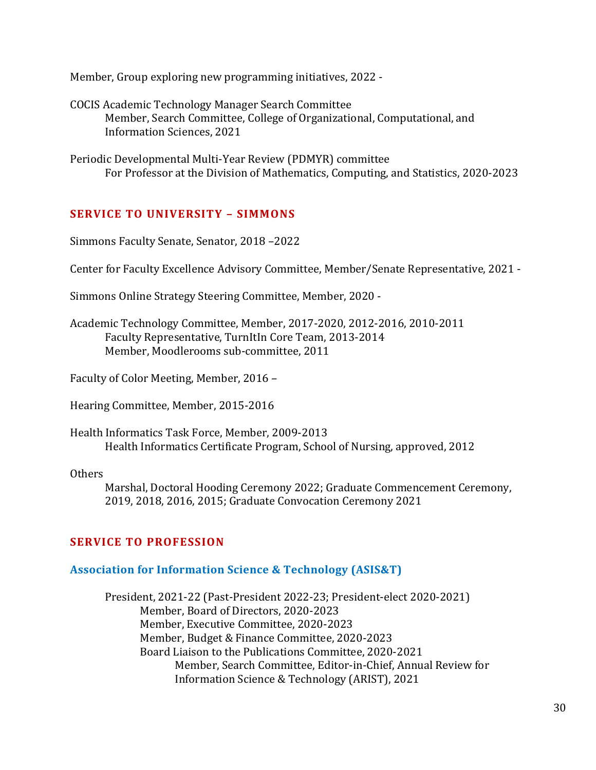Member, Group exploring new programming initiatives, 2022 -

COCIS Academic Technology Manager Search Committee Member, Search Committee, College of Organizational, Computational, and Information Sciences, 2021

Periodic Developmental Multi‐Year Review (PDMYR) committee For Professor at the Division of Mathematics, Computing, and Statistics, 2020-2023

### **SERVICE TO UNIVERSITY – SIMMONS**

Simmons Faculty Senate, Senator, 2018 –2022

Center for Faculty Excellence Advisory Committee, Member/Senate Representative, 2021 -

Simmons Online Strategy Steering Committee, Member, 2020 -

Academic Technology Committee, Member, 2017-2020, 2012-2016, 2010-2011 Faculty Representative, TurnItIn Core Team, 2013-2014 Member, Moodlerooms sub-committee, 2011

Faculty of Color Meeting, Member, 2016 –

Hearing Committee, Member, 2015-2016

Health Informatics Task Force, Member, 2009-2013 Health Informatics Certificate Program, School of Nursing, approved, 2012

Others

Marshal, Doctoral Hooding Ceremony 2022; Graduate Commencement Ceremony, 2019, 2018, 2016, 2015; Graduate Convocation Ceremony 2021

#### **SERVICE TO PROFESSION**

#### **Association for Information Science & Technology (ASIS&T)**

President, 2021-22 (Past-President 2022-23; President-elect 2020-2021) Member, Board of Directors, 2020-2023 Member, Executive Committee, 2020-2023 Member, Budget & Finance Committee, 2020-2023 Board Liaison to the Publications Committee, 2020-2021 Member, Search Committee, Editor-in-Chief, Annual Review for Information Science & Technology (ARIST), 2021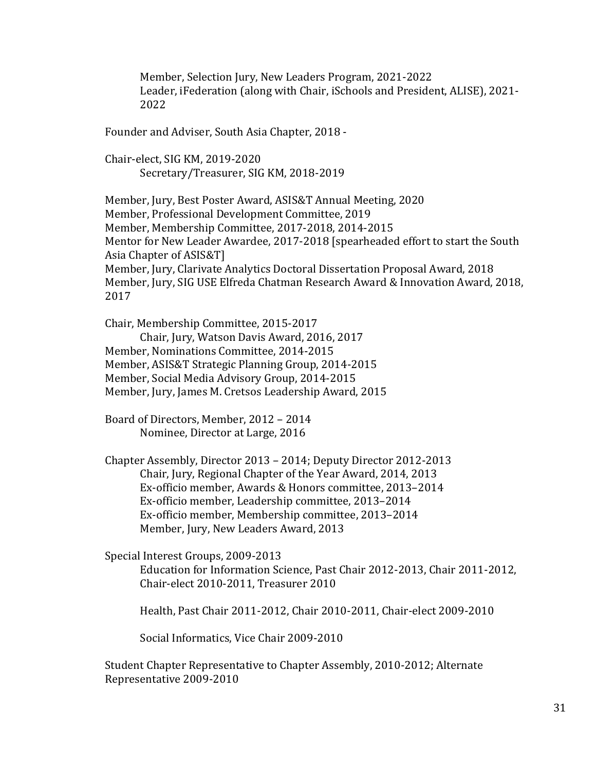Member, Selection Jury, New Leaders Program, 2021-2022 Leader, iFederation (along with Chair, iSchools and President, ALISE), 2021- 2022

Founder and Adviser, South Asia Chapter, 2018 -

Chair-elect, SIG KM, 2019-2020 Secretary/Treasurer, SIG KM, 2018-2019

Member, Jury, Best Poster Award, ASIS&T Annual Meeting, 2020 Member, Professional Development Committee, 2019 Member, Membership Committee, 2017-2018, 2014-2015 Mentor for New Leader Awardee, 2017-2018 [spearheaded effort to start the South Asia Chapter of ASIS&T] Member, Jury, Clarivate Analytics Doctoral Dissertation Proposal Award, 2018 Member, Jury, SIG USE Elfreda Chatman Research Award & Innovation Award, 2018, 2017

Chair, Membership Committee, 2015-2017 Chair, Jury, Watson Davis Award, 2016, 2017 Member, Nominations Committee, 2014-2015 Member, ASIS&T Strategic Planning Group, 2014-2015 Member, Social Media Advisory Group, 2014-2015 Member, Jury, James M. Cretsos Leadership Award, 2015

Board of Directors, Member, 2012 – 2014 Nominee, Director at Large, 2016

Chapter Assembly, Director 2013 – 2014; Deputy Director 2012-2013 Chair, Jury, Regional Chapter of the Year Award, 2014, 2013 Ex-officio member, Awards & Honors committee, 2013–2014 Ex-officio member, Leadership committee, 2013–2014 Ex-officio member, Membership committee, 2013–2014 Member, Jury, New Leaders Award, 2013

Special Interest Groups, 2009-2013

Education for Information Science, Past Chair 2012-2013, Chair 2011-2012, Chair-elect 2010-2011, Treasurer 2010

Health, Past Chair 2011-2012, Chair 2010-2011, Chair-elect 2009-2010

Social Informatics, Vice Chair 2009-2010

Student Chapter Representative to Chapter Assembly, 2010-2012; Alternate Representative 2009-2010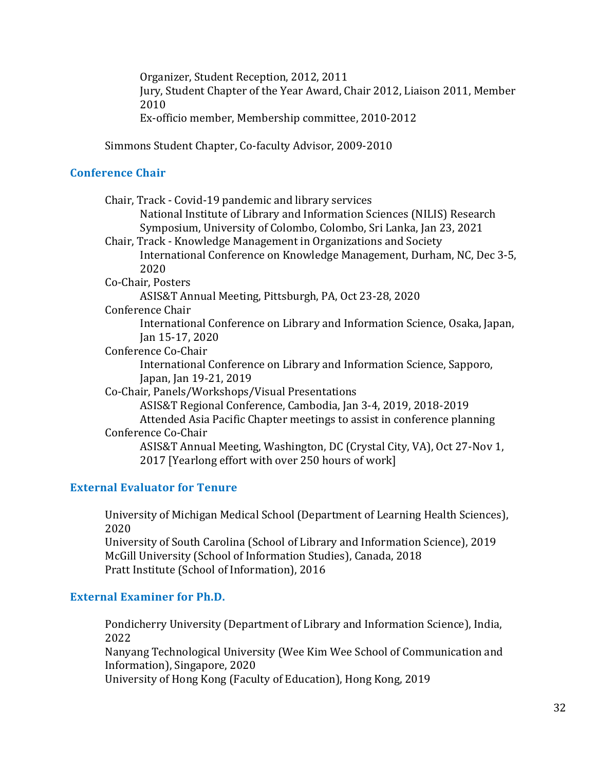Organizer, Student Reception, 2012, 2011 Jury, Student Chapter of the Year Award, Chair 2012, Liaison 2011, Member 2010

Ex-officio member, Membership committee, 2010-2012

Simmons Student Chapter, Co-faculty Advisor, 2009-2010

### **Conference Chair**

| Chair, Track - Covid-19 pandemic and library services                      |
|----------------------------------------------------------------------------|
| National Institute of Library and Information Sciences (NILIS) Research    |
| Symposium, University of Colombo, Colombo, Sri Lanka, Jan 23, 2021         |
| Chair, Track - Knowledge Management in Organizations and Society           |
| International Conference on Knowledge Management, Durham, NC, Dec 3-5,     |
| 2020                                                                       |
| Co-Chair, Posters                                                          |
| ASIS&T Annual Meeting, Pittsburgh, PA, Oct 23-28, 2020                     |
| Conference Chair                                                           |
| International Conference on Library and Information Science, Osaka, Japan, |
| Jan 15-17, 2020                                                            |
| Conference Co-Chair                                                        |
| International Conference on Library and Information Science, Sapporo,      |
| Japan, Jan 19-21, 2019                                                     |
| Co-Chair, Panels/Workshops/Visual Presentations                            |
| ASIS&T Regional Conference, Cambodia, Jan 3-4, 2019, 2018-2019             |
| Attended Asia Pacific Chapter meetings to assist in conference planning    |
| Conference Co-Chair                                                        |
| ASIS&T Annual Meeting, Washington, DC (Crystal City, VA), Oct 27-Nov 1,    |
| 2017 [Yearlong effort with over 250 hours of work]                         |
|                                                                            |

### **External Evaluator for Tenure**

University of Michigan Medical School (Department of Learning Health Sciences), 2020 University of South Carolina (School of Library and Information Science), 2019 McGill University (School of Information Studies), Canada, 2018 Pratt Institute (School of Information), 2016

### **External Examiner for Ph.D.**

Pondicherry University (Department of Library and Information Science), India, 2022

Nanyang Technological University (Wee Kim Wee School of Communication and Information), Singapore, 2020

University of Hong Kong (Faculty of Education), Hong Kong, 2019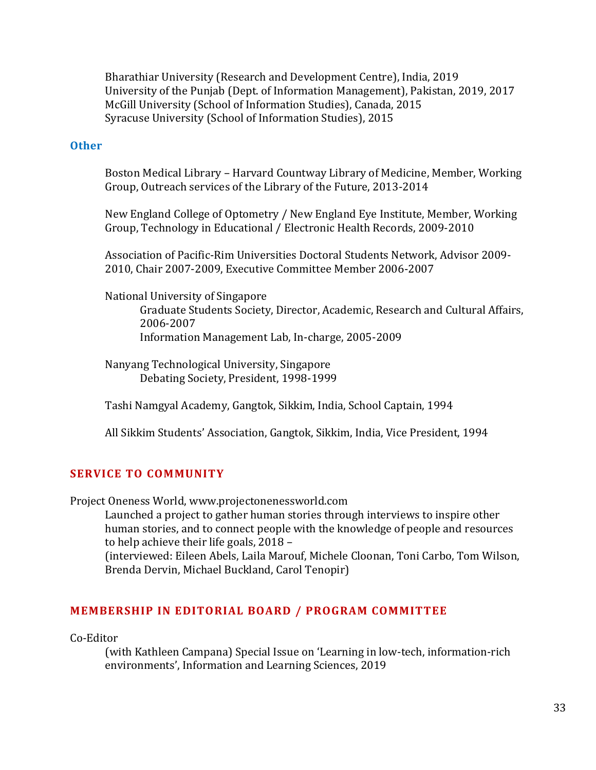Bharathiar University (Research and Development Centre), India, 2019 University of the Punjab (Dept. of Information Management), Pakistan, 2019, 2017 McGill University (School of Information Studies), Canada, 2015 Syracuse University (School of Information Studies), 2015

#### **Other**

Boston Medical Library – Harvard Countway Library of Medicine, Member, Working Group, Outreach services of the Library of the Future, 2013-2014

New England College of Optometry / New England Eye Institute, Member, Working Group, Technology in Educational / Electronic Health Records, 2009-2010

Association of Pacific-Rim Universities Doctoral Students Network, Advisor 2009- 2010, Chair 2007-2009, Executive Committee Member 2006-2007

National University of Singapore

Graduate Students Society, Director, Academic, Research and Cultural Affairs, 2006-2007 Information Management Lab, In-charge, 2005-2009

Nanyang Technological University, Singapore Debating Society, President, 1998-1999

Tashi Namgyal Academy, Gangtok, Sikkim, India, School Captain, 1994

All Sikkim Students' Association, Gangtok, Sikkim, India, Vice President, 1994

#### **SERVICE TO COMMUNITY**

Project Oneness World, [www.projectonenessworld.com](http://www.projectonenessworld.com/)

Launched a project to gather human stories through interviews to inspire other human stories, and to connect people with the knowledge of people and resources to help achieve their life goals, 2018 –

(interviewed: Eileen Abels, Laila Marouf, Michele Cloonan, Toni Carbo, Tom Wilson, Brenda Dervin, Michael Buckland, Carol Tenopir)

#### **MEMBERSHIP IN EDITORIAL BOARD / PROGRAM COMMITTEE**

Co-Editor

(with Kathleen Campana) Special Issue on 'Learning in low-tech, information-rich environments', Information and Learning Sciences, 2019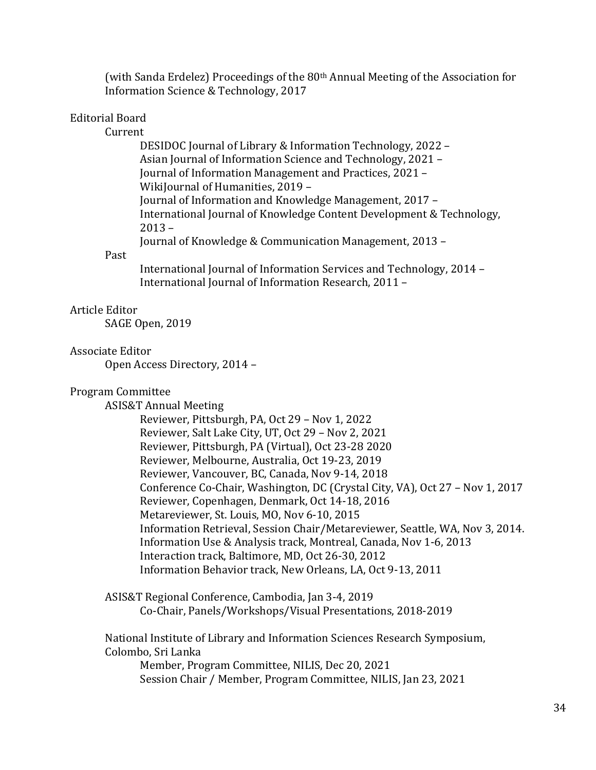(with Sanda Erdelez) Proceedings of the 80<sup>th</sup> Annual Meeting of the Association for Information Science & Technology, 2017

#### Editorial Board

Current

DESIDOC Journal of Library & Information Technology, 2022 – Asian Journal of Information Science and Technology, 2021 – Journal of Information Management and Practices, 2021 – WikiJournal of Humanities, 2019 – Journal of Information and Knowledge Management, 2017 – International Journal of Knowledge Content Development & Technology, 2013 – Journal of Knowledge & Communication Management, 2013 –

#### Past

International Journal of Information Services and Technology, 2014 – International Journal of Information Research, 2011 –

#### Article Editor

SAGE Open, 2019

#### Associate Editor

Open Access Directory, 2014 –

#### Program Committee

ASIS&T Annual Meeting

Reviewer, Pittsburgh, PA, Oct 29 – Nov 1, 2022 Reviewer, Salt Lake City, UT, Oct 29 – Nov 2, 2021 Reviewer, Pittsburgh, PA (Virtual), Oct 23-28 2020 Reviewer, Melbourne, Australia, Oct 19-23, 2019 Reviewer, Vancouver, BC, Canada, Nov 9-14, 2018 Conference Co-Chair, Washington, DC (Crystal City, VA), Oct 27 – Nov 1, 2017 Reviewer, Copenhagen, Denmark, Oct 14-18, 2016 Metareviewer, St. Louis, MO, Nov 6-10, 2015 Information Retrieval, Session Chair/Metareviewer, Seattle, WA, Nov 3, 2014. Information Use & Analysis track, Montreal, Canada, Nov 1-6, 2013 Interaction track, Baltimore, MD, Oct 26-30, 2012 Information Behavior track, New Orleans, LA, Oct 9-13, 2011

ASIS&T Regional Conference, Cambodia, Jan 3-4, 2019 Co-Chair, Panels/Workshops/Visual Presentations, 2018-2019

National Institute of Library and Information Sciences Research Symposium, Colombo, Sri Lanka Member, Program Committee, NILIS, Dec 20, 2021 Session Chair / Member, Program Committee, NILIS, Jan 23, 2021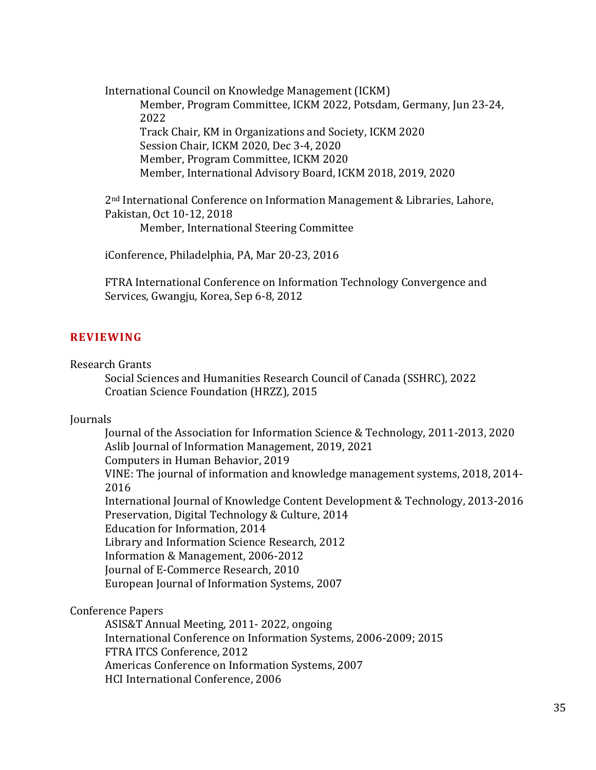International Council on Knowledge Management (ICKM) Member, Program Committee, ICKM 2022, Potsdam, Germany, Jun 23-24, 2022 Track Chair, KM in Organizations and Society, ICKM 2020 Session Chair, ICKM 2020, Dec 3-4, 2020 Member, Program Committee, ICKM 2020 Member, International Advisory Board, ICKM 2018, 2019, 2020

2nd International Conference on Information Management & Libraries, Lahore, Pakistan, Oct 10-12, 2018 Member, International Steering Committee

iConference, Philadelphia, PA, Mar 20-23, 2016

FTRA International Conference on Information Technology Convergence and Services, Gwangju, Korea, Sep 6-8, 2012

#### **REVIEWING**

Research Grants

Social Sciences and Humanities Research Council of Canada (SSHRC), 2022 Croatian Science Foundation (HRZZ), 2015

#### Journals

Journal of the Association for Information Science & Technology, 2011-2013, 2020 Aslib Journal of Information Management, 2019, 2021 Computers in Human Behavior, 2019 VINE: The journal of information and knowledge management systems, 2018, 2014- 2016 International Journal of Knowledge Content Development & Technology, 2013-2016 Preservation, Digital Technology & Culture, 2014 Education for Information, 2014 Library and Information Science Research, 2012 Information & Management, 2006-2012 Journal of E-Commerce Research, 2010 European Journal of Information Systems, 2007

Conference Papers

ASIS&T Annual Meeting, 2011- 2022, ongoing International Conference on Information Systems, 2006-2009; 2015 FTRA ITCS Conference, 2012 Americas Conference on Information Systems, 2007 HCI International Conference, 2006